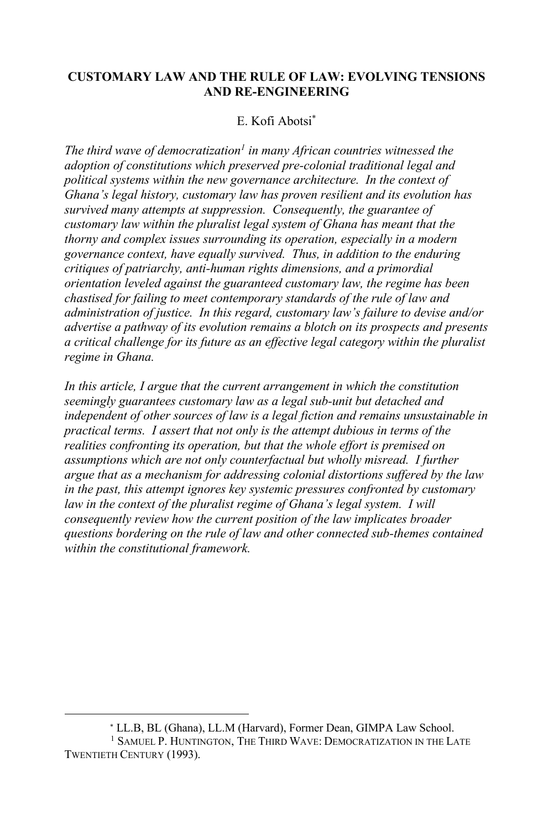# **CUSTOMARY LAW AND THE RULE OF LAW: EVOLVING TENSIONS AND RE-ENGINEERING**

# E. Kofi Abotsi\*

*The third wave of democratization<sup>1</sup> in many African countries witnessed the adoption of constitutions which preserved pre-colonial traditional legal and political systems within the new governance architecture. In the context of Ghana's legal history, customary law has proven resilient and its evolution has survived many attempts at suppression. Consequently, the guarantee of customary law within the pluralist legal system of Ghana has meant that the thorny and complex issues surrounding its operation, especially in a modern governance context, have equally survived. Thus, in addition to the enduring critiques of patriarchy, anti-human rights dimensions, and a primordial orientation leveled against the guaranteed customary law, the regime has been chastised for failing to meet contemporary standards of the rule of law and administration of justice. In this regard, customary law's failure to devise and/or advertise a pathway of its evolution remains a blotch on its prospects and presents a critical challenge for its future as an effective legal category within the pluralist regime in Ghana.*

*In this article, I argue that the current arrangement in which the constitution seemingly guarantees customary law as a legal sub-unit but detached and independent of other sources of law is a legal fiction and remains unsustainable in practical terms. I assert that not only is the attempt dubious in terms of the realities confronting its operation, but that the whole effort is premised on assumptions which are not only counterfactual but wholly misread. I further argue that as a mechanism for addressing colonial distortions suffered by the law in the past, this attempt ignores key systemic pressures confronted by customary*  law in the context of the pluralist regime of Ghana's legal system. I will *consequently review how the current position of the law implicates broader questions bordering on the rule of law and other connected sub-themes contained within the constitutional framework.*

<sup>\*</sup> LL.B, BL (Ghana), LL.M (Harvard), Former Dean, GIMPA Law School.

<sup>1</sup> SAMUEL P. HUNTINGTON, THE THIRD WAVE: DEMOCRATIZATION IN THE LATE TWENTIETH CENTURY (1993).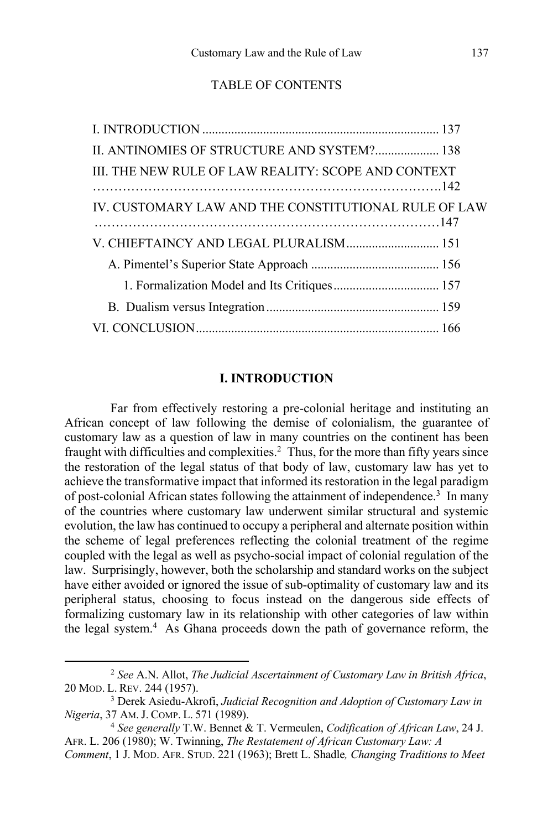## TABLE OF CONTENTS

| II. ANTINOMIES OF STRUCTURE AND SYSTEM? 138          |  |
|------------------------------------------------------|--|
| III. THE NEW RULE OF LAW REALITY: SCOPE AND CONTEXT  |  |
| IV. CUSTOMARY LAW AND THE CONSTITUTIONAL RULE OF LAW |  |
| V. CHIEFTAINCY AND LEGAL PLURALISM 151               |  |
|                                                      |  |
|                                                      |  |
|                                                      |  |
|                                                      |  |

#### **I. INTRODUCTION**

Far from effectively restoring a pre-colonial heritage and instituting an African concept of law following the demise of colonialism, the guarantee of customary law as a question of law in many countries on the continent has been fraught with difficulties and complexities. $^2$  Thus, for the more than fifty years since the restoration of the legal status of that body of law, customary law has yet to achieve the transformative impact that informed its restoration in the legal paradigm of post-colonial African states following the attainment of independence.<sup>3</sup> In many of the countries where customary law underwent similar structural and systemic evolution, the law has continued to occupy a peripheral and alternate position within the scheme of legal preferences reflecting the colonial treatment of the regime coupled with the legal as well as psycho-social impact of colonial regulation of the law. Surprisingly, however, both the scholarship and standard works on the subject have either avoided or ignored the issue of sub-optimality of customary law and its peripheral status, choosing to focus instead on the dangerous side effects of formalizing customary law in its relationship with other categories of law within the legal system.<sup>4</sup> As Ghana proceeds down the path of governance reform, the

<sup>2</sup> *See* A.N. Allot, *The Judicial Ascertainment of Customary Law in British Africa*, 20 MOD. L. REV. 244 (1957).

<sup>3</sup> Derek Asiedu-Akrofi, *Judicial Recognition and Adoption of Customary Law in Nigeria*, 37 AM.J. COMP. L. <sup>571</sup> (1989). 4 *See generally* T.W. Bennet & T. Vermeulen, *Codification of African Law*, 24 J.

AFR. L. 206 (1980); W. Twinning, *The Restatement of African Customary Law: A* 

*Comment*, 1 J. MOD. AFR. STUD. 221 (1963); Brett L. Shadle*, Changing Traditions to Meet*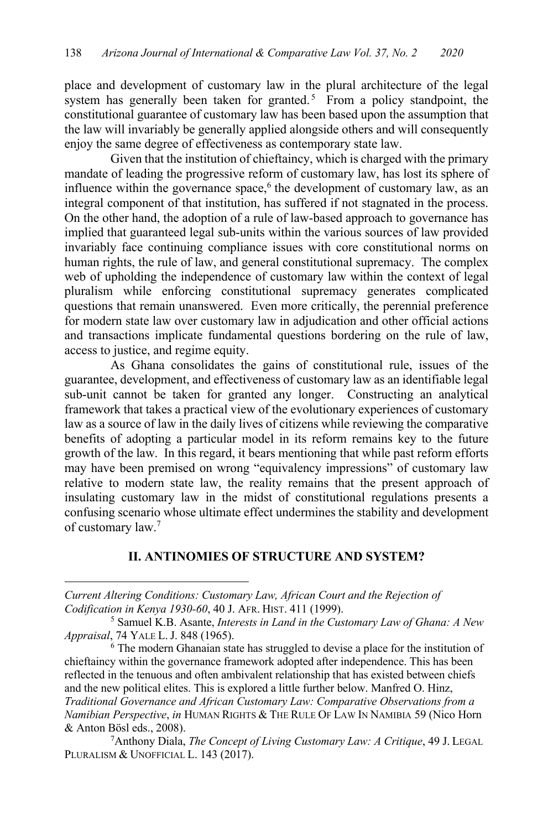place and development of customary law in the plural architecture of the legal system has generally been taken for granted.<sup>5</sup> From a policy standpoint, the constitutional guarantee of customary law has been based upon the assumption that the law will invariably be generally applied alongside others and will consequently enjoy the same degree of effectiveness as contemporary state law.

Given that the institution of chieftaincy, which is charged with the primary mandate of leading the progressive reform of customary law, has lost its sphere of influence within the governance space,<sup>6</sup> the development of customary law, as an integral component of that institution, has suffered if not stagnated in the process. On the other hand, the adoption of a rule of law-based approach to governance has implied that guaranteed legal sub-units within the various sources of law provided invariably face continuing compliance issues with core constitutional norms on human rights, the rule of law, and general constitutional supremacy. The complex web of upholding the independence of customary law within the context of legal pluralism while enforcing constitutional supremacy generates complicated questions that remain unanswered. Even more critically, the perennial preference for modern state law over customary law in adjudication and other official actions and transactions implicate fundamental questions bordering on the rule of law, access to justice, and regime equity.

As Ghana consolidates the gains of constitutional rule, issues of the guarantee, development, and effectiveness of customary law as an identifiable legal sub-unit cannot be taken for granted any longer. Constructing an analytical framework that takes a practical view of the evolutionary experiences of customary law as a source of law in the daily lives of citizens while reviewing the comparative benefits of adopting a particular model in its reform remains key to the future growth of the law. In this regard, it bears mentioning that while past reform efforts may have been premised on wrong "equivalency impressions" of customary law relative to modern state law, the reality remains that the present approach of insulating customary law in the midst of constitutional regulations presents a confusing scenario whose ultimate effect undermines the stability and development of customary law.7

### **II. ANTINOMIES OF STRUCTURE AND SYSTEM?**

*Current Altering Conditions: Customary Law, African Court and the Rejection of Codification in Kenya 1930-60*, 40 J. AFR. HIST. 411 (1999).

<sup>6</sup> The modern Ghanaian state has struggled to devise a place for the institution of chieftaincy within the governance framework adopted after independence. This has been reflected in the tenuous and often ambivalent relationship that has existed between chiefs and the new political elites. This is explored a little further below. Manfred O. Hinz, *Traditional Governance and African Customary Law: Comparative Observations from a Namibian Perspective*, *in* HUMAN RIGHTS & THE RULE OF LAW IN NAMIBIA 59 (Nico Horn & Anton Bösl eds., 2008).

7Anthony Diala, *The Concept of Living Customary Law: A Critique*, 49 J. LEGAL PLURALISM & UNOFFICIAL L. 143 (2017).

<sup>5</sup> Samuel K.B. Asante, *Interests in Land in the Customary Law of Ghana: A New Appraisal*, 74 YALE L.J. 848 (1965).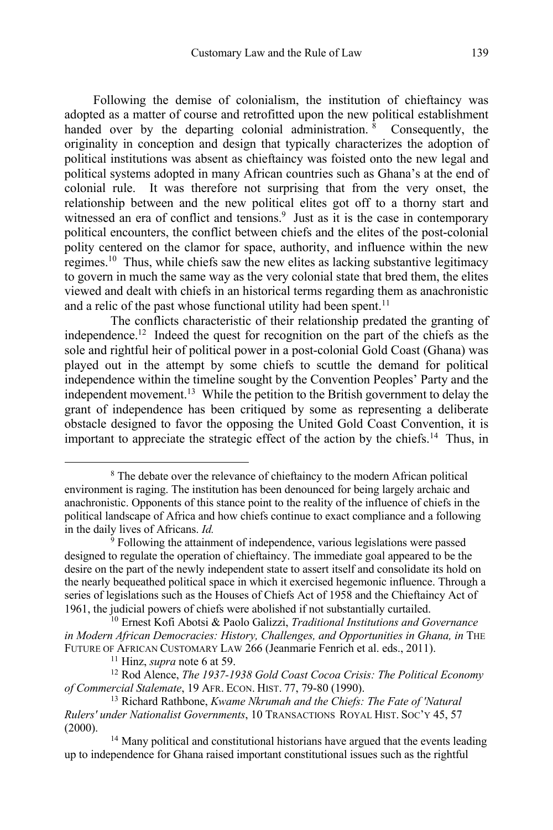Following the demise of colonialism, the institution of chieftaincy was adopted as a matter of course and retrofitted upon the new political establishment handed over by the departing colonial administration.<sup>8</sup> Consequently, the originality in conception and design that typically characterizes the adoption of political institutions was absent as chieftaincy was foisted onto the new legal and political systems adopted in many African countries such as Ghana's at the end of colonial rule. It was therefore not surprising that from the very onset, the relationship between and the new political elites got off to a thorny start and witnessed an era of conflict and tensions.<sup>9</sup> Just as it is the case in contemporary political encounters, the conflict between chiefs and the elites of the post-colonial polity centered on the clamor for space, authority, and influence within the new regimes.10 Thus, while chiefs saw the new elites as lacking substantive legitimacy to govern in much the same way as the very colonial state that bred them, the elites viewed and dealt with chiefs in an historical terms regarding them as anachronistic and a relic of the past whose functional utility had been spent.<sup>11</sup>

The conflicts characteristic of their relationship predated the granting of independence.12 Indeed the quest for recognition on the part of the chiefs as the sole and rightful heir of political power in a post-colonial Gold Coast (Ghana) was played out in the attempt by some chiefs to scuttle the demand for political independence within the timeline sought by the Convention Peoples' Party and the independent movement.<sup>13</sup> While the petition to the British government to delay the grant of independence has been critiqued by some as representing a deliberate obstacle designed to favor the opposing the United Gold Coast Convention, it is important to appreciate the strategic effect of the action by the chiefs.14 Thus, in

<sup>8</sup> The debate over the relevance of chieftaincy to the modern African political environment is raging. The institution has been denounced for being largely archaic and anachronistic. Opponents of this stance point to the reality of the influence of chiefs in the political landscape of Africa and how chiefs continue to exact compliance and a following in the daily lives of Africans. *Id.*

<sup>9</sup> Following the attainment of independence, various legislations were passed designed to regulate the operation of chieftaincy. The immediate goal appeared to be the desire on the part of the newly independent state to assert itself and consolidate its hold on the nearly bequeathed political space in which it exercised hegemonic influence. Through a series of legislations such as the Houses of Chiefs Act of 1958 and the Chieftaincy Act of 1961, the judicial powers of chiefs were abolished if not substantially curtailed. 10 Ernest Kofi Abotsi & Paolo Galizzi, *Traditional Institutions and Governance* 

*in Modern African Democracies: History, Challenges, and Opportunities in Ghana, in* THE FUTURE OF AFRICAN CUSTOMARY LAW 266 (Jeanmarie Fenrich et al. eds., 2011). 11 Hinz, *supra* note 6 at 59. 12 Rod Alence, *The 1937-1938 Gold Coast Cocoa Crisis: The Political Economy* 

*of Commercial Stalemate*, 19 AFR. ECON. HIST. 77, 79-80 (1990). 13 Richard Rathbone, *Kwame Nkrumah and the Chiefs: The Fate of 'Natural* 

*Rulers' under Nationalist Governments*, 10 TRANSACTIONS ROYAL HIST. SOC'Y 45, 57 (2000).

<sup>&</sup>lt;sup>14</sup> Many political and constitutional historians have argued that the events leading up to independence for Ghana raised important constitutional issues such as the rightful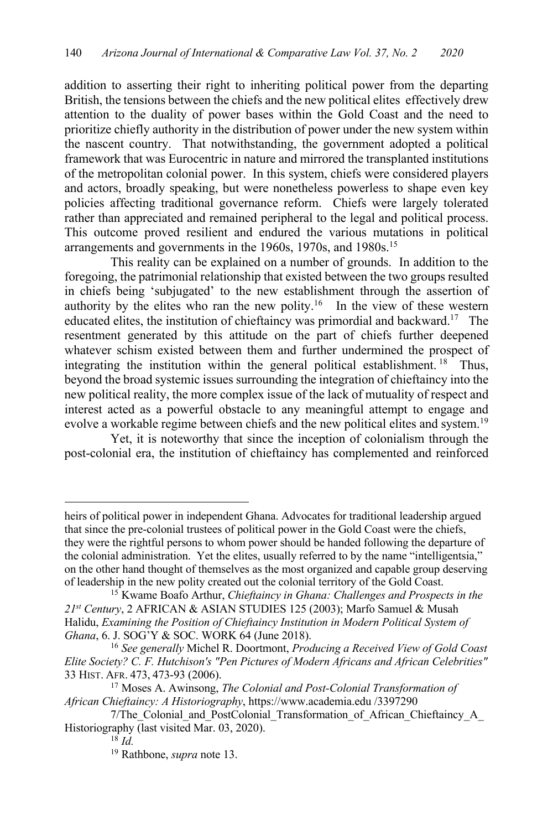addition to asserting their right to inheriting political power from the departing British, the tensions between the chiefs and the new political elites effectively drew attention to the duality of power bases within the Gold Coast and the need to prioritize chiefly authority in the distribution of power under the new system within the nascent country. That notwithstanding, the government adopted a political framework that was Eurocentric in nature and mirrored the transplanted institutions of the metropolitan colonial power. In this system, chiefs were considered players and actors, broadly speaking, but were nonetheless powerless to shape even key policies affecting traditional governance reform. Chiefs were largely tolerated rather than appreciated and remained peripheral to the legal and political process. This outcome proved resilient and endured the various mutations in political arrangements and governments in the 1960s, 1970s, and 1980s.<sup>15</sup>

This reality can be explained on a number of grounds. In addition to the foregoing, the patrimonial relationship that existed between the two groups resulted in chiefs being 'subjugated' to the new establishment through the assertion of authority by the elites who ran the new polity.<sup>16</sup> In the view of these western educated elites, the institution of chieftaincy was primordial and backward.<sup>17</sup> The resentment generated by this attitude on the part of chiefs further deepened whatever schism existed between them and further undermined the prospect of integrating the institution within the general political establishment. <sup>18</sup> Thus, beyond the broad systemic issues surrounding the integration of chieftaincy into the new political reality, the more complex issue of the lack of mutuality of respect and interest acted as a powerful obstacle to any meaningful attempt to engage and evolve a workable regime between chiefs and the new political elites and system.<sup>19</sup>

Yet, it is noteworthy that since the inception of colonialism through the post-colonial era, the institution of chieftaincy has complemented and reinforced

heirs of political power in independent Ghana. Advocates for traditional leadership argued that since the pre-colonial trustees of political power in the Gold Coast were the chiefs, they were the rightful persons to whom power should be handed following the departure of the colonial administration. Yet the elites, usually referred to by the name "intelligentsia," on the other hand thought of themselves as the most organized and capable group deserving of leadership in the new polity created out the colonial territory of the Gold Coast. 15 Kwame Boafo Arthur, *Chieftaincy in Ghana: Challenges and Prospects in the* 

*<sup>21</sup>st Century*, 2 AFRICAN & ASIAN STUDIES 125 (2003); Marfo Samuel & Musah Halidu, *Examining the Position of Chieftaincy Institution in Modern Political System of Ghana*, 6. J. SOG'Y & SOC. WORK 64 (June 2018).

<sup>16</sup> *See generally* Michel R. Doortmont, *Producing a Received View of Gold Coast Elite Society? C. F. Hutchison's "Pen Pictures of Modern Africans and African Celebrities"* 33 HIST. AFR. 473, 473-93 (2006).

<sup>17</sup> Moses A. Awinsong, *The Colonial and Post-Colonial Transformation of African Chieftaincy: A Historiography*, https://www.academia.edu /3397290

<sup>7/</sup>The Colonial and PostColonial Transformation of African Chieftaincy A Historiography (last visited Mar. 03, 2020).

<sup>18</sup> *Id.*

<sup>19</sup> Rathbone, *supra* note 13.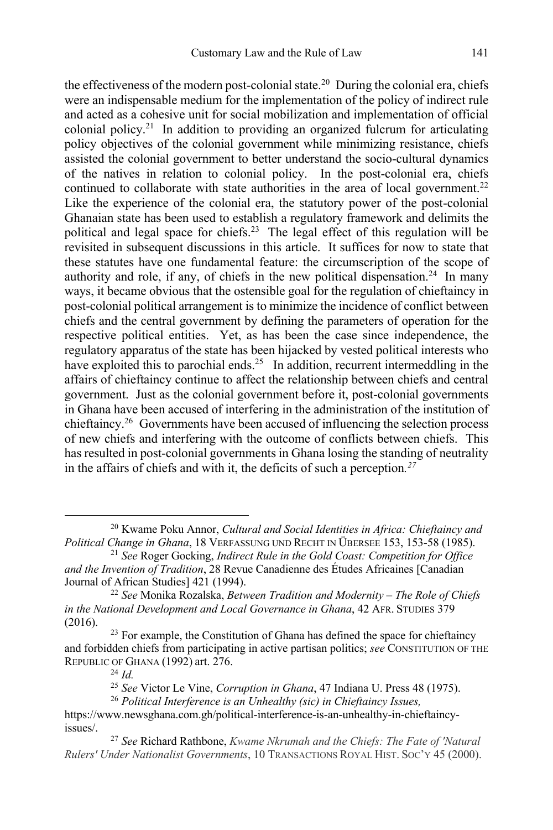the effectiveness of the modern post-colonial state.<sup>20</sup> During the colonial era, chiefs were an indispensable medium for the implementation of the policy of indirect rule and acted as a cohesive unit for social mobilization and implementation of official colonial policy.<sup>21</sup> In addition to providing an organized fulcrum for articulating policy objectives of the colonial government while minimizing resistance, chiefs assisted the colonial government to better understand the socio-cultural dynamics of the natives in relation to colonial policy. In the post-colonial era, chiefs continued to collaborate with state authorities in the area of local government.<sup>22</sup> Like the experience of the colonial era, the statutory power of the post-colonial Ghanaian state has been used to establish a regulatory framework and delimits the political and legal space for chiefs.23 The legal effect of this regulation will be revisited in subsequent discussions in this article. It suffices for now to state that these statutes have one fundamental feature: the circumscription of the scope of authority and role, if any, of chiefs in the new political dispensation.<sup>24</sup> In many ways, it became obvious that the ostensible goal for the regulation of chieftaincy in post-colonial political arrangement is to minimize the incidence of conflict between chiefs and the central government by defining the parameters of operation for the respective political entities. Yet, as has been the case since independence, the regulatory apparatus of the state has been hijacked by vested political interests who have exploited this to parochial ends.<sup>25</sup> In addition, recurrent intermeddling in the affairs of chieftaincy continue to affect the relationship between chiefs and central government. Just as the colonial government before it, post-colonial governments in Ghana have been accused of interfering in the administration of the institution of chieftaincy.26 Governments have been accused of influencing the selection process of new chiefs and interfering with the outcome of conflicts between chiefs. This has resulted in post-colonial governments in Ghana losing the standing of neutrality in the affairs of chiefs and with it, the deficits of such a perception*. 27*

<sup>20</sup> Kwame Poku Annor, *Cultural and Social Identities in Africa: Chieftaincy and Political Change in Ghana*, 18 VERFASSUNG UND RECHT IN ÜBERSEE 153, 153-58 (1985).

<sup>21</sup> *See* Roger Gocking, *Indirect Rule in the Gold Coast: Competition for Office and the Invention of Tradition*, 28 Revue Canadienne des Études Africaines [Canadian Journal of African Studies] 421 (1994).

<sup>22</sup> *See* Monika Rozalska, *Between Tradition and Modernity* – *The Role of Chiefs in the National Development and Local Governance in Ghana*, 42 AFR. STUDIES 379 (2016).

 $23$  For example, the Constitution of Ghana has defined the space for chieftaincy and forbidden chiefs from participating in active partisan politics; *see* CONSTITUTION OF THE REPUBLIC OF GHANA (1992) art. 276.

<sup>24</sup> *Id.*

<sup>25</sup> *See* Victor Le Vine, *Corruption in Ghana*, 47 Indiana U. Press 48 (1975).

<sup>26</sup> *Political Interference is an Unhealthy (sic) in Chieftaincy Issues,*

https://www.newsghana.com.gh/political-interference-is-an-unhealthy-in-chieftaincyissues/. 27 *See* Richard Rathbone, *Kwame Nkrumah and the Chiefs: The Fate of 'Natural* 

*Rulers' Under Nationalist Governments*, 10 TRANSACTIONS ROYAL HIST. SOC'Y 45 (2000).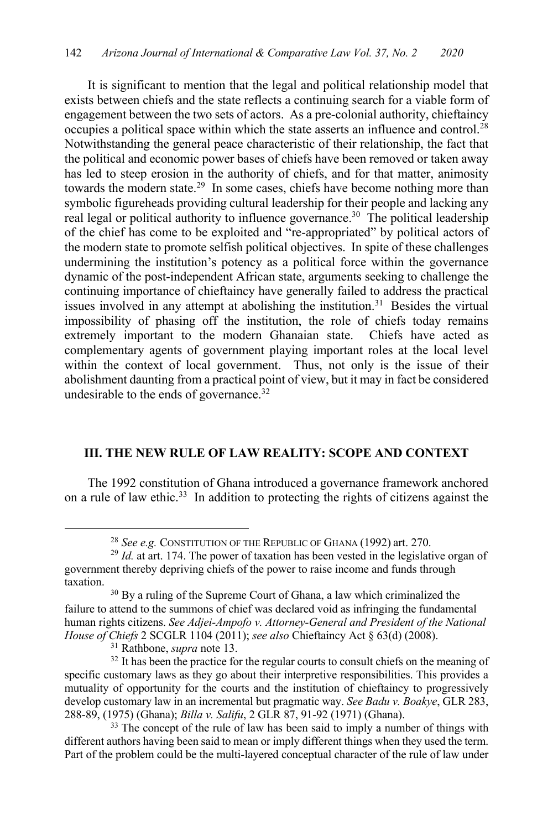It is significant to mention that the legal and political relationship model that exists between chiefs and the state reflects a continuing search for a viable form of engagement between the two sets of actors. As a pre-colonial authority, chieftaincy occupies a political space within which the state asserts an influence and control.28 Notwithstanding the general peace characteristic of their relationship, the fact that the political and economic power bases of chiefs have been removed or taken away has led to steep erosion in the authority of chiefs, and for that matter, animosity towards the modern state.<sup>29</sup> In some cases, chiefs have become nothing more than symbolic figureheads providing cultural leadership for their people and lacking any real legal or political authority to influence governance.<sup>30</sup> The political leadership of the chief has come to be exploited and "re-appropriated" by political actors of the modern state to promote selfish political objectives. In spite of these challenges undermining the institution's potency as a political force within the governance dynamic of the post-independent African state, arguments seeking to challenge the continuing importance of chieftaincy have generally failed to address the practical issues involved in any attempt at abolishing the institution.<sup>31</sup> Besides the virtual impossibility of phasing off the institution, the role of chiefs today remains extremely important to the modern Ghanaian state. Chiefs have acted as complementary agents of government playing important roles at the local level within the context of local government. Thus, not only is the issue of their abolishment daunting from a practical point of view, but it may in fact be considered undesirable to the ends of governance.<sup>32</sup>

## **III. THE NEW RULE OF LAW REALITY: SCOPE AND CONTEXT**

The 1992 constitution of Ghana introduced a governance framework anchored on a rule of law ethic.33 In addition to protecting the rights of citizens against the

<sup>28</sup> *See e.g.* CONSTITUTION OF THE REPUBLIC OF GHANA (1992) art. 270.

<sup>&</sup>lt;sup>29</sup> *Id.* at art. 174. The power of taxation has been vested in the legislative organ of government thereby depriving chiefs of the power to raise income and funds through taxation.

<sup>&</sup>lt;sup>30</sup> By a ruling of the Supreme Court of Ghana, a law which criminalized the failure to attend to the summons of chief was declared void as infringing the fundamental human rights citizens. *See Adjei-Ampofo v. Attorney-General and President of the National House of Chiefs* 2 SCGLR 1104 (2011); *see also* Chieftaincy Act § 63(d) (2008). 31 Rathbone, *supra* note 13.

<sup>&</sup>lt;sup>32</sup> It has been the practice for the regular courts to consult chiefs on the meaning of specific customary laws as they go about their interpretive responsibilities. This provides a mutuality of opportunity for the courts and the institution of chieftaincy to progressively develop customary law in an incremental but pragmatic way. *See Badu v. Boakye*, GLR 283, 288-89, (1975) (Ghana); *Billa v. Salifu*, 2 GLR 87, 91-92 (1971) (Ghana).

<sup>&</sup>lt;sup>33</sup> The concept of the rule of law has been said to imply a number of things with different authors having been said to mean or imply different things when they used the term. Part of the problem could be the multi-layered conceptual character of the rule of law under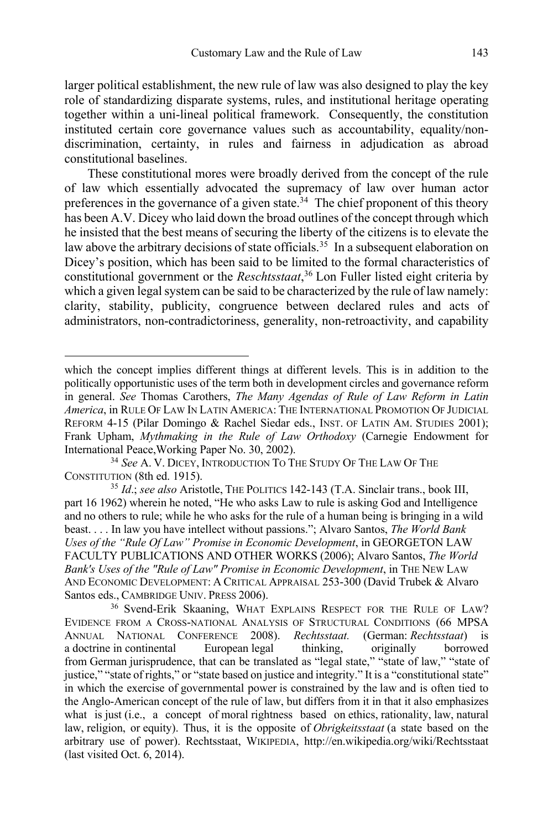larger political establishment, the new rule of law was also designed to play the key role of standardizing disparate systems, rules, and institutional heritage operating together within a uni-lineal political framework. Consequently, the constitution instituted certain core governance values such as accountability, equality/nondiscrimination, certainty, in rules and fairness in adjudication as abroad constitutional baselines.

These constitutional mores were broadly derived from the concept of the rule of law which essentially advocated the supremacy of law over human actor preferences in the governance of a given state.<sup>34</sup> The chief proponent of this theory has been A.V. Dicey who laid down the broad outlines of the concept through which he insisted that the best means of securing the liberty of the citizens is to elevate the law above the arbitrary decisions of state officials.<sup>35</sup> In a subsequent elaboration on Dicey's position, which has been said to be limited to the formal characteristics of constitutional government or the *Reschtsstaat*, <sup>36</sup> Lon Fuller listed eight criteria by which a given legal system can be said to be characterized by the rule of law namely: clarity, stability, publicity, congruence between declared rules and acts of administrators, non-contradictoriness, generality, non-retroactivity, and capability

which the concept implies different things at different levels. This is in addition to the politically opportunistic uses of the term both in development circles and governance reform in general. *See* Thomas Carothers, *The Many Agendas of Rule of Law Reform in Latin America*, in RULE OF LAW IN LATIN AMERICA: THE INTERNATIONAL PROMOTION OF JUDICIAL REFORM 4-15 (Pilar Domingo & Rachel Siedar eds., INST. OF LATIN AM. STUDIES 2001); Frank Upham, *Mythmaking in the Rule of Law Orthodoxy* (Carnegie Endowment for International Peace,Working Paper No. 30, 2002). 34 *See* A. V. DICEY, INTRODUCTION TO THE STUDY OF THE LAW OF THE

CONSTITUTION (8th ed. 1915).

<sup>35</sup> *Id*.; *see also* Aristotle, THE POLITICS 142-143 (T.A. Sinclair trans., book III, part 16 1962) wherein he noted, "He who asks Law to rule is asking God and Intelligence and no others to rule; while he who asks for the rule of a human being is bringing in a wild beast. . . . In law you have intellect without passions."; Alvaro Santos, *The World Bank Uses of the "Rule Of Law" Promise in Economic Development*, in GEORGETON LAW FACULTY PUBLICATIONS AND OTHER WORKS (2006); Alvaro Santos, *The World Bank's Uses of the "Rule of Law" Promise in Economic Development*, in THE NEW LAW AND ECONOMIC DEVELOPMENT: A CRITICAL APPRAISAL 253-300 (David Trubek & Alvaro Santos eds., CAMBRIDGE UNIV. PRESS 2006).

<sup>&</sup>lt;sup>36</sup> Svend-Erik Skaaning, WHAT EXPLAINS RESPECT FOR THE RULE OF LAW? EVIDENCE FROM A CROSS-NATIONAL ANALYSIS OF STRUCTURAL CONDITIONS (66 MPSA ANNUAL NATIONAL CONFERENCE 2008). *Rechtsstaat.* (German: *Rechtsstaat*) is a doctrine in continental European legal thinking, originally borrowed from German jurisprudence, that can be translated as "legal state," "state of law," "state of justice," "state of rights," or "state based on justice and integrity." It is a "constitutional state" in which the exercise of governmental power is constrained by the law and is often tied to the Anglo-American concept of the rule of law, but differs from it in that it also emphasizes what is just (i.e., a concept of moral rightness based on ethics, rationality, law, natural law, religion, or equity). Thus, it is the opposite of *Obrigkeitsstaat* (a state based on the arbitrary use of power). Rechtsstaat, WIKIPEDIA, http://en.wikipedia.org/wiki/Rechtsstaat (last visited Oct. 6, 2014).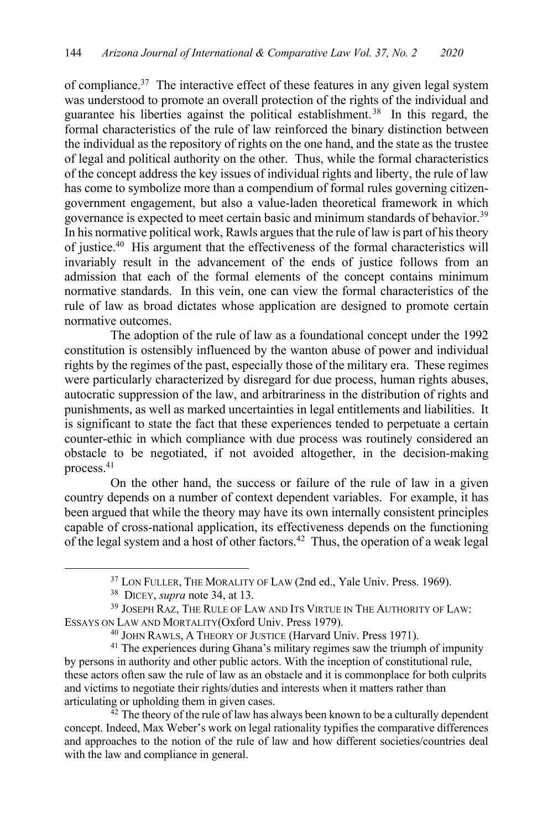of compliance.37 The interactive effect of these features in any given legal system was understood to promote an overall protection of the rights of the individual and guarantee his liberties against the political establishment. 38 In this regard, the formal characteristics of the rule of law reinforced the binary distinction between the individual as the repository of rights on the one hand, and the state as the trustee of legal and political authority on the other. Thus, while the formal characteristics of the concept address the key issues of individual rights and liberty, the rule of law has come to symbolize more than a compendium of formal rules governing citizengovernment engagement, but also a value-laden theoretical framework in which governance is expected to meet certain basic and minimum standards of behavior.39 In his normative political work, Rawls argues that the rule of law is part of his theory of justice.40 His argument that the effectiveness of the formal characteristics will invariably result in the advancement of the ends of justice follows from an admission that each of the formal elements of the concept contains minimum normative standards. In this vein, one can view the formal characteristics of the rule of law as broad dictates whose application are designed to promote certain normative outcomes.

The adoption of the rule of law as a foundational concept under the 1992 constitution is ostensibly influenced by the wanton abuse of power and individual rights by the regimes of the past, especially those of the military era. These regimes were particularly characterized by disregard for due process, human rights abuses, autocratic suppression of the law, and arbitrariness in the distribution of rights and punishments, as well as marked uncertainties in legal entitlements and liabilities. It is significant to state the fact that these experiences tended to perpetuate a certain counter-ethic in which compliance with due process was routinely considered an obstacle to be negotiated, if not avoided altogether, in the decision-making process.41

On the other hand, the success or failure of the rule of law in a given country depends on a number of context dependent variables. For example, it has been argued that while the theory may have its own internally consistent principles capable of cross-national application, its effectiveness depends on the functioning of the legal system and a host of other factors.<sup>42</sup> Thus, the operation of a weak legal

concept. Indeed, Max Weber's work on legal rationality typifies the comparative differences and approaches to the notion of the rule of law and how different societies/countries deal with the law and compliance in general.

<sup>&</sup>lt;sup>37</sup> LON FULLER, THE MORALITY OF LAW (2nd ed., Yale Univ. Press. 1969).

<sup>38</sup> DICEY, *supra* note 34, at 13.

<sup>&</sup>lt;sup>39</sup> JOSEPH RAZ, THE RULE OF LAW AND ITS VIRTUE IN THE AUTHORITY OF LAW: ESSAYS ON LAW AND MORTALITY(Oxford Univ. Press 1979).

<sup>&</sup>lt;sup>40</sup> JOHN RAWLS, A THEORY OF JUSTICE (Harvard Univ. Press 1971).

<sup>&</sup>lt;sup>41</sup> The experiences during Ghana's military regimes saw the triumph of impunity by persons in authority and other public actors. With the inception of constitutional rule, these actors often saw the rule of law as an obstacle and it is commonplace for both culprits and victims to negotiate their rights/duties and interests when it matters rather than articulating or upholding them in given cases.<br><sup>42</sup> The theory of the rule of law has always been known to be a culturally dependent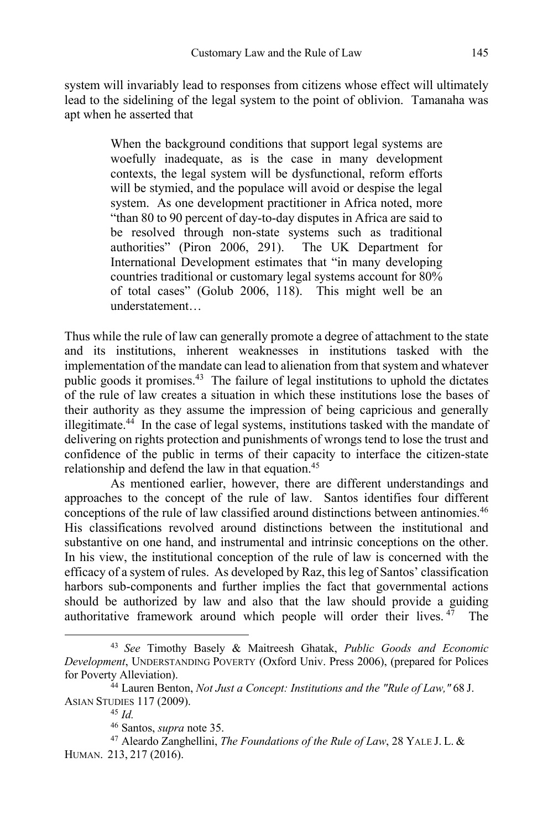system will invariably lead to responses from citizens whose effect will ultimately lead to the sidelining of the legal system to the point of oblivion. Tamanaha was apt when he asserted that

> When the background conditions that support legal systems are woefully inadequate, as is the case in many development contexts, the legal system will be dysfunctional, reform efforts will be stymied, and the populace will avoid or despise the legal system. As one development practitioner in Africa noted, more "than 80 to 90 percent of day-to-day disputes in Africa are said to be resolved through non-state systems such as traditional authorities" (Piron 2006, 291). The UK Department for International Development estimates that "in many developing countries traditional or customary legal systems account for 80% of total cases" (Golub 2006, 118). This might well be an understatement…

Thus while the rule of law can generally promote a degree of attachment to the state and its institutions, inherent weaknesses in institutions tasked with the implementation of the mandate can lead to alienation from that system and whatever public goods it promises.<sup>43</sup> The failure of legal institutions to uphold the dictates of the rule of law creates a situation in which these institutions lose the bases of their authority as they assume the impression of being capricious and generally illegitimate.44 In the case of legal systems, institutions tasked with the mandate of delivering on rights protection and punishments of wrongs tend to lose the trust and confidence of the public in terms of their capacity to interface the citizen-state relationship and defend the law in that equation.<sup>45</sup>

As mentioned earlier, however, there are different understandings and approaches to the concept of the rule of law. Santos identifies four different conceptions of the rule of law classified around distinctions between antinomies.<sup>46</sup> His classifications revolved around distinctions between the institutional and substantive on one hand, and instrumental and intrinsic conceptions on the other. In his view, the institutional conception of the rule of law is concerned with the efficacy of a system of rules. As developed by Raz, this leg of Santos' classification harbors sub-components and further implies the fact that governmental actions should be authorized by law and also that the law should provide a guiding authoritative framework around which people will order their lives.  $47$  The

<sup>43</sup> *See* Timothy Basely & Maitreesh Ghatak, *Public Goods and Economic Development*, UNDERSTANDING POVERTY (Oxford Univ. Press 2006), (prepared for Polices for Poverty Alleviation).

<sup>44</sup> Lauren Benton, *Not Just a Concept: Institutions and the "Rule of Law,"* 68 J. ASIAN STUDIES 117 (2009).

<sup>45</sup> *Id.*

<sup>46</sup> Santos, *supra* note 35.

<sup>47</sup> Aleardo Zanghellini, *The Foundations of the Rule of Law*, 28 YALE J. L. & HUMAN. 213, 217 (2016).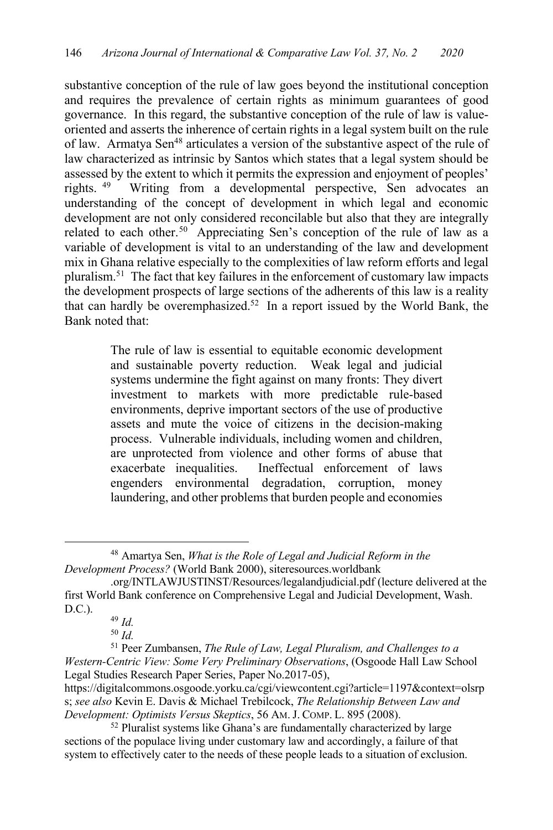substantive conception of the rule of law goes beyond the institutional conception and requires the prevalence of certain rights as minimum guarantees of good governance. In this regard, the substantive conception of the rule of law is valueoriented and asserts the inherence of certain rights in a legal system built on the rule of law. Armatya Sen<sup>48</sup> articulates a version of the substantive aspect of the rule of law characterized as intrinsic by Santos which states that a legal system should be assessed by the extent to which it permits the expression and enjoyment of peoples' rights. 49 Writing from a developmental perspective, Sen advocates an understanding of the concept of development in which legal and economic development are not only considered reconcilable but also that they are integrally related to each other.<sup>50</sup> Appreciating Sen's conception of the rule of law as a variable of development is vital to an understanding of the law and development mix in Ghana relative especially to the complexities of law reform efforts and legal pluralism.<sup>51</sup> The fact that key failures in the enforcement of customary law impacts the development prospects of large sections of the adherents of this law is a reality that can hardly be overemphasized.<sup>52</sup> In a report issued by the World Bank, the Bank noted that:

> The rule of law is essential to equitable economic development and sustainable poverty reduction. Weak legal and judicial systems undermine the fight against on many fronts: They divert investment to markets with more predictable rule-based environments, deprive important sectors of the use of productive assets and mute the voice of citizens in the decision-making process. Vulnerable individuals, including women and children, are unprotected from violence and other forms of abuse that exacerbate inequalities. Ineffectual enforcement of laws engenders environmental degradation, corruption, money laundering, and other problems that burden people and economies

<sup>48</sup> Amartya Sen, *What is the Role of Legal and Judicial Reform in the Development Process?* (World Bank 2000), siteresources.worldbank

<sup>.</sup>org/INTLAWJUSTINST/Resources/legalandjudicial.pdf (lecture delivered at the first World Bank conference on Comprehensive Legal and Judicial Development, Wash. D.C.).

<sup>49</sup> *Id.*

<sup>50</sup> *Id.*

<sup>51</sup> Peer Zumbansen, *The Rule of Law, Legal Pluralism, and Challenges to a Western-Centric View: Some Very Preliminary Observations*, (Osgoode Hall Law School Legal Studies Research Paper Series, Paper No.2017-05),

https://digitalcommons.osgoode.yorku.ca/cgi/viewcontent.cgi?article=1197&context=olsrp s; *see also* Kevin E. Davis & Michael Trebilcock, *The Relationship Between Law and Development: Optimists Versus Skeptics*, 56 AM.J. COMP. L. 895 (2008).

<sup>52</sup> Pluralist systems like Ghana's are fundamentally characterized by large sections of the populace living under customary law and accordingly, a failure of that system to effectively cater to the needs of these people leads to a situation of exclusion.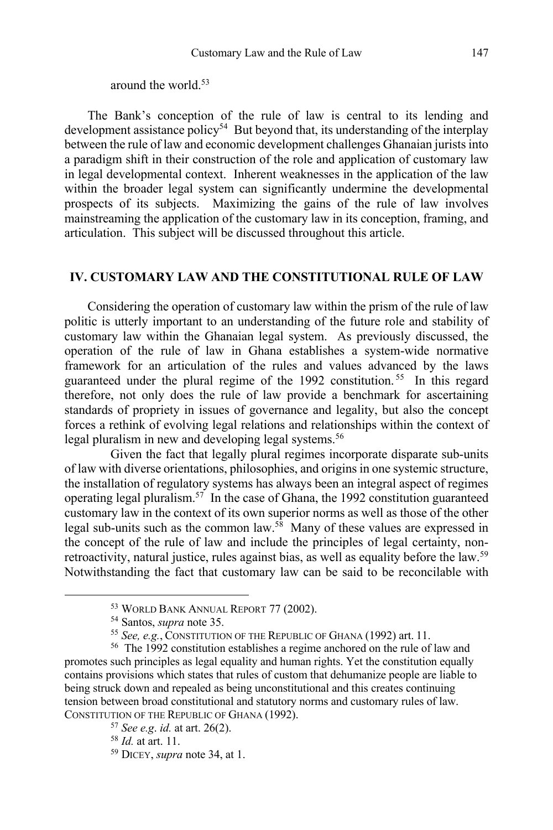around the world.53

The Bank's conception of the rule of law is central to its lending and development assistance policy<sup>54</sup> But beyond that, its understanding of the interplay between the rule of law and economic development challenges Ghanaian jurists into a paradigm shift in their construction of the role and application of customary law in legal developmental context. Inherent weaknesses in the application of the law within the broader legal system can significantly undermine the developmental prospects of its subjects. Maximizing the gains of the rule of law involves mainstreaming the application of the customary law in its conception, framing, and articulation. This subject will be discussed throughout this article.

#### **IV. CUSTOMARY LAW AND THE CONSTITUTIONAL RULE OF LAW**

Considering the operation of customary law within the prism of the rule of law politic is utterly important to an understanding of the future role and stability of customary law within the Ghanaian legal system. As previously discussed, the operation of the rule of law in Ghana establishes a system-wide normative framework for an articulation of the rules and values advanced by the laws guaranteed under the plural regime of the 1992 constitution. 55 In this regard therefore, not only does the rule of law provide a benchmark for ascertaining standards of propriety in issues of governance and legality, but also the concept forces a rethink of evolving legal relations and relationships within the context of legal pluralism in new and developing legal systems.<sup>56</sup>

Given the fact that legally plural regimes incorporate disparate sub-units of law with diverse orientations, philosophies, and origins in one systemic structure, the installation of regulatory systems has always been an integral aspect of regimes operating legal pluralism.57 In the case of Ghana, the 1992 constitution guaranteed customary law in the context of its own superior norms as well as those of the other legal sub-units such as the common law.58 Many of these values are expressed in the concept of the rule of law and include the principles of legal certainty, nonretroactivity, natural justice, rules against bias, as well as equality before the law.<sup>59</sup> Notwithstanding the fact that customary law can be said to be reconcilable with

<sup>53</sup> WORLD BANK ANNUAL REPORT 77 (2002).

<sup>54</sup> Santos, *supra* note 35.

<sup>55</sup> *See, e.g.*, CONSTITUTION OF THE REPUBLIC OF GHANA (1992) art. 11.

<sup>56</sup> The 1992 constitution establishes a regime anchored on the rule of law and promotes such principles as legal equality and human rights. Yet the constitution equally contains provisions which states that rules of custom that dehumanize people are liable to being struck down and repealed as being unconstitutional and this creates continuing tension between broad constitutional and statutory norms and customary rules of law. CONSTITUTION OF THE REPUBLIC OF GHANA (1992). 57 *See e.g*. *id.* at art. 26(2).

<sup>58</sup> *Id.* at art. 11.

<sup>59</sup> DICEY, *supra* note 34, at 1.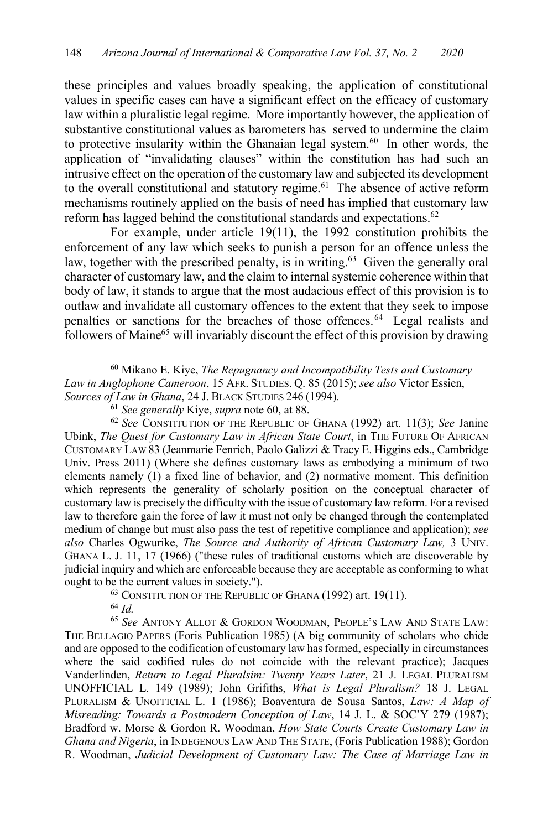these principles and values broadly speaking, the application of constitutional values in specific cases can have a significant effect on the efficacy of customary law within a pluralistic legal regime. More importantly however, the application of substantive constitutional values as barometers has served to undermine the claim to protective insularity within the Ghanaian legal system.<sup>60</sup> In other words, the application of "invalidating clauses" within the constitution has had such an intrusive effect on the operation of the customary law and subjected its development to the overall constitutional and statutory regime.<sup>61</sup> The absence of active reform mechanisms routinely applied on the basis of need has implied that customary law reform has lagged behind the constitutional standards and expectations.<sup>62</sup>

For example, under article 19(11), the 1992 constitution prohibits the enforcement of any law which seeks to punish a person for an offence unless the law, together with the prescribed penalty, is in writing.<sup>63</sup> Given the generally oral character of customary law, and the claim to internal systemic coherence within that body of law, it stands to argue that the most audacious effect of this provision is to outlaw and invalidate all customary offences to the extent that they seek to impose penalties or sanctions for the breaches of those offences.64 Legal realists and followers of Maine<sup>65</sup> will invariably discount the effect of this provision by drawing

<sup>62</sup> *See* CONSTITUTION OF THE REPUBLIC OF GHANA (1992) art. 11(3); *See* Janine Ubink, *The Quest for Customary Law in African State Court*, in THE FUTURE OF AFRICAN CUSTOMARY LAW 83 (Jeanmarie Fenrich, Paolo Galizzi & Tracy E. Higgins eds., Cambridge Univ. Press 2011) (Where she defines customary laws as embodying a minimum of two elements namely (1) a fixed line of behavior, and (2) normative moment. This definition which represents the generality of scholarly position on the conceptual character of customary law is precisely the difficulty with the issue of customary law reform. For a revised law to therefore gain the force of law it must not only be changed through the contemplated medium of change but must also pass the test of repetitive compliance and application); *see also* Charles Ogwurike, *The Source and Authority of African Customary Law,* 3 UNIV. GHANA L. J. 11, 17 (1966) ("these rules of traditional customs which are discoverable by judicial inquiry and which are enforceable because they are acceptable as conforming to what ought to be the current values in society.").<br><sup>63</sup> CONSTITUTION OF THE REPUBLIC OF GHANA (1992) art. 19(11).

<sup>64</sup> *Id.*

<sup>65</sup> *See* ANTONY ALLOT & GORDON WOODMAN, PEOPLE'S LAW AND STATE LAW: THE BELLAGIO PAPERS (Foris Publication 1985) (A big community of scholars who chide and are opposed to the codification of customary law has formed, especially in circumstances where the said codified rules do not coincide with the relevant practice); Jacques Vanderlinden, *Return to Legal Pluralsim: Twenty Years Later*, 21 J. LEGAL PLURALISM UNOFFICIAL L. 149 (1989); John Grifiths, *What is Legal Pluralism?* 18 J. LEGAL PLURALISM & UNOFFICIAL L. 1 (1986); Boaventura de Sousa Santos, *Law: A Map of Misreading: Towards a Postmodern Conception of Law*, 14 J. L. & SOC'Y 279 (1987); Bradford w. Morse & Gordon R. Woodman, *How State Courts Create Customary Law in Ghana and Nigeria*, in INDEGENOUS LAW AND THE STATE, (Foris Publication 1988); Gordon R. Woodman, *Judicial Development of Customary Law: The Case of Marriage Law in* 

<sup>60</sup> Mikano E. Kiye, *The Repugnancy and Incompatibility Tests and Customary Law in Anglophone Cameroon*, 15 AFR. STUDIES. Q. 85 (2015); *see also* Victor Essien, *Sources of Law in Ghana*, 24 J. BLACK STUDIES 246 (1994).

<sup>61</sup> *See generally* Kiye, *supra* note 60, at 88.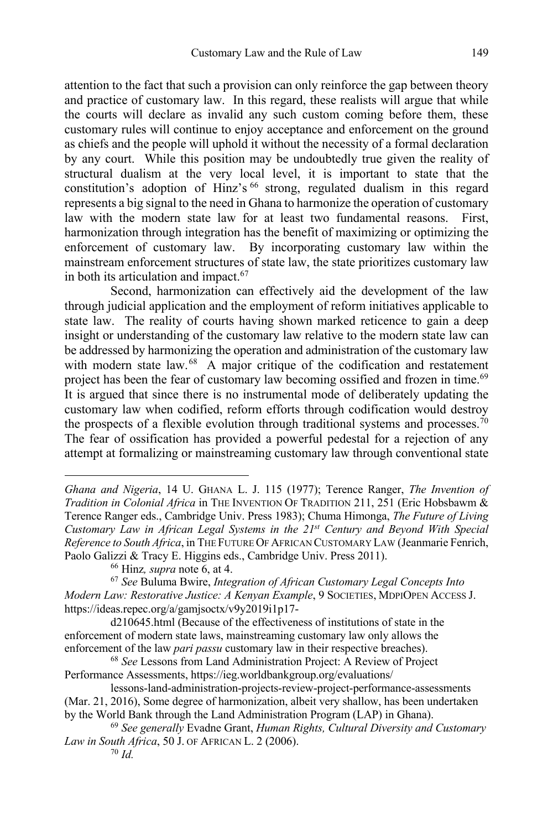attention to the fact that such a provision can only reinforce the gap between theory and practice of customary law. In this regard, these realists will argue that while the courts will declare as invalid any such custom coming before them, these customary rules will continue to enjoy acceptance and enforcement on the ground as chiefs and the people will uphold it without the necessity of a formal declaration by any court. While this position may be undoubtedly true given the reality of structural dualism at the very local level, it is important to state that the constitution's adoption of Hinz's <sup>66</sup> strong, regulated dualism in this regard represents a big signal to the need in Ghana to harmonize the operation of customary law with the modern state law for at least two fundamental reasons. First, harmonization through integration has the benefit of maximizing or optimizing the enforcement of customary law. By incorporating customary law within the mainstream enforcement structures of state law, the state prioritizes customary law in both its articulation and impact. $67$ 

Second, harmonization can effectively aid the development of the law through judicial application and the employment of reform initiatives applicable to state law. The reality of courts having shown marked reticence to gain a deep insight or understanding of the customary law relative to the modern state law can be addressed by harmonizing the operation and administration of the customary law with modern state law.<sup>68</sup> A major critique of the codification and restatement project has been the fear of customary law becoming ossified and frozen in time.<sup>69</sup> It is argued that since there is no instrumental mode of deliberately updating the customary law when codified, reform efforts through codification would destroy the prospects of a flexible evolution through traditional systems and processes.<sup>70</sup> The fear of ossification has provided a powerful pedestal for a rejection of any attempt at formalizing or mainstreaming customary law through conventional state

*Ghana and Nigeria*, 14 U. GHANA L. J. 115 (1977); Terence Ranger, *The Invention of Tradition in Colonial Africa* in THE INVENTION OF TRADITION 211, 251 (Eric Hobsbawm & Terence Ranger eds., Cambridge Univ. Press 1983); Chuma Himonga, *The Future of Living Customary Law in African Legal Systems in the 21st Century and Beyond With Special Reference to South Africa*, in THE FUTURE OF AFRICAN CUSTOMARY LAW (Jeanmarie Fenrich, Paolo Galizzi & Tracy E. Higgins eds., Cambridge Univ. Press 2011).

<sup>66</sup> Hinz*, supra* note 6, at 4.

<sup>67</sup> *See* Buluma Bwire, *Integration of African Customary Legal Concepts Into Modern Law: Restorative Justice: A Kenyan Example*, 9 SOCIETIES, MDPIOPEN ACCESS J. https://ideas.repec.org/a/gamjsoctx/v9y2019i1p17-

d210645.html (Because of the effectiveness of institutions of state in the enforcement of modern state laws, mainstreaming customary law only allows the enforcement of the law *pari passu* customary law in their respective breaches).

<sup>68</sup> *See* Lessons from Land Administration Project: A Review of Project Performance Assessments, https://ieg.worldbankgroup.org/evaluations/

lessons-land-administration-projects-review-project-performance-assessments (Mar. 21, 2016), Some degree of harmonization, albeit very shallow, has been undertaken by the World Bank through the Land Administration Program (LAP) in Ghana).

<sup>69</sup> *See generally* Evadne Grant, *Human Rights, Cultural Diversity and Customary Law in South Africa*, 50 J. OF AFRICAN L. 2 (2006). <sup>70</sup> *Id.*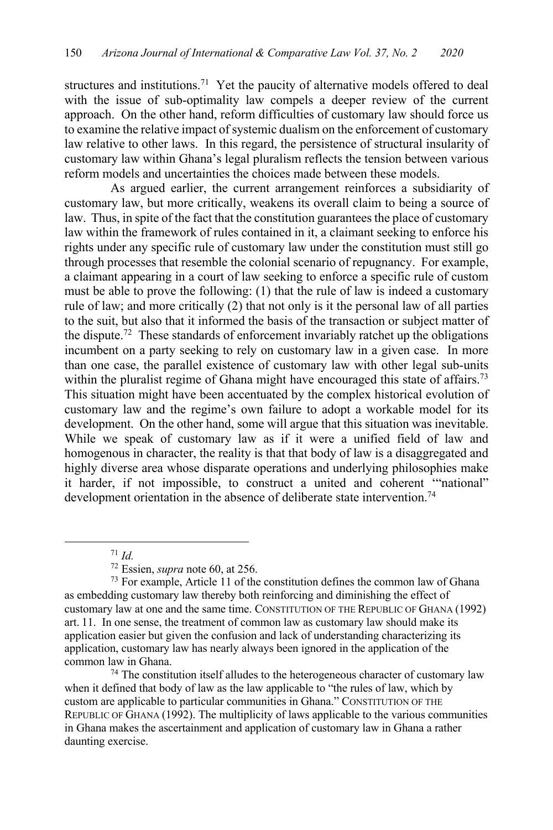structures and institutions.<sup>71</sup> Yet the paucity of alternative models offered to deal with the issue of sub-optimality law compels a deeper review of the current approach. On the other hand, reform difficulties of customary law should force us to examine the relative impact of systemic dualism on the enforcement of customary law relative to other laws. In this regard, the persistence of structural insularity of customary law within Ghana's legal pluralism reflects the tension between various reform models and uncertainties the choices made between these models.

As argued earlier, the current arrangement reinforces a subsidiarity of customary law, but more critically, weakens its overall claim to being a source of law. Thus, in spite of the fact that the constitution guarantees the place of customary law within the framework of rules contained in it, a claimant seeking to enforce his rights under any specific rule of customary law under the constitution must still go through processes that resemble the colonial scenario of repugnancy. For example, a claimant appearing in a court of law seeking to enforce a specific rule of custom must be able to prove the following: (1) that the rule of law is indeed a customary rule of law; and more critically (2) that not only is it the personal law of all parties to the suit, but also that it informed the basis of the transaction or subject matter of the dispute.<sup>72</sup> These standards of enforcement invariably ratchet up the obligations incumbent on a party seeking to rely on customary law in a given case. In more than one case, the parallel existence of customary law with other legal sub-units within the pluralist regime of Ghana might have encouraged this state of affairs.<sup>73</sup> This situation might have been accentuated by the complex historical evolution of customary law and the regime's own failure to adopt a workable model for its development. On the other hand, some will argue that this situation was inevitable. While we speak of customary law as if it were a unified field of law and homogenous in character, the reality is that that body of law is a disaggregated and highly diverse area whose disparate operations and underlying philosophies make it harder, if not impossible, to construct a united and coherent '"national" development orientation in the absence of deliberate state intervention.<sup>74</sup>

when it defined that body of law as the law applicable to "the rules of law, which by custom are applicable to particular communities in Ghana." CONSTITUTION OF THE REPUBLIC OF GHANA (1992). The multiplicity of laws applicable to the various communities in Ghana makes the ascertainment and application of customary law in Ghana a rather daunting exercise.

<sup>71</sup> *Id.*

<sup>72</sup> Essien, *supra* note 60, at 256.

<sup>73</sup> For example, Article 11 of the constitution defines the common law of Ghana as embedding customary law thereby both reinforcing and diminishing the effect of customary law at one and the same time. CONSTITUTION OF THE REPUBLIC OF GHANA (1992) art. 11. In one sense, the treatment of common law as customary law should make its application easier but given the confusion and lack of understanding characterizing its application, customary law has nearly always been ignored in the application of the common law in Ghana.<br><sup>74</sup> The constitution itself alludes to the heterogeneous character of customary law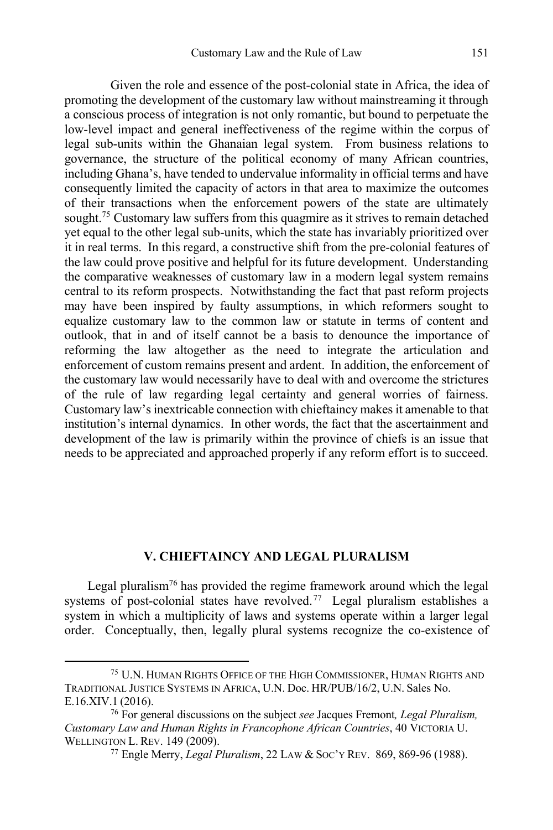Given the role and essence of the post-colonial state in Africa, the idea of promoting the development of the customary law without mainstreaming it through a conscious process of integration is not only romantic, but bound to perpetuate the low-level impact and general ineffectiveness of the regime within the corpus of legal sub-units within the Ghanaian legal system. From business relations to governance, the structure of the political economy of many African countries, including Ghana's, have tended to undervalue informality in official terms and have consequently limited the capacity of actors in that area to maximize the outcomes of their transactions when the enforcement powers of the state are ultimately sought.<sup>75</sup> Customary law suffers from this quagmire as it strives to remain detached yet equal to the other legal sub-units, which the state has invariably prioritized over it in real terms. In this regard, a constructive shift from the pre-colonial features of the law could prove positive and helpful for its future development. Understanding the comparative weaknesses of customary law in a modern legal system remains central to its reform prospects. Notwithstanding the fact that past reform projects may have been inspired by faulty assumptions, in which reformers sought to equalize customary law to the common law or statute in terms of content and outlook, that in and of itself cannot be a basis to denounce the importance of reforming the law altogether as the need to integrate the articulation and enforcement of custom remains present and ardent. In addition, the enforcement of the customary law would necessarily have to deal with and overcome the strictures of the rule of law regarding legal certainty and general worries of fairness. Customary law's inextricable connection with chieftaincy makes it amenable to that institution's internal dynamics. In other words, the fact that the ascertainment and development of the law is primarily within the province of chiefs is an issue that needs to be appreciated and approached properly if any reform effort is to succeed.

#### **V. CHIEFTAINCY AND LEGAL PLURALISM**

Legal pluralism<sup>76</sup> has provided the regime framework around which the legal systems of post-colonial states have revolved.<sup>77</sup> Legal pluralism establishes a system in which a multiplicity of laws and systems operate within a larger legal order. Conceptually, then, legally plural systems recognize the co-existence of

<sup>75</sup> U.N. HUMAN RIGHTS OFFICE OF THE HIGH COMMISSIONER, HUMAN RIGHTS AND TRADITIONAL JUSTICE SYSTEMS IN AFRICA, U.N. Doc. HR/PUB/16/2, U.N. Sales No. E.16.XIV.1 (2016).

<sup>76</sup> For general discussions on the subject *see* Jacques Fremont*, Legal Pluralism, Customary Law and Human Rights in Francophone African Countries*, 40 VICTORIA U. WELLINGTON L. REV. 149 (2009). 77 Engle Merry, *Legal Pluralism*, 22 LAW & SOC'Y REV. 869, 869-96 (1988).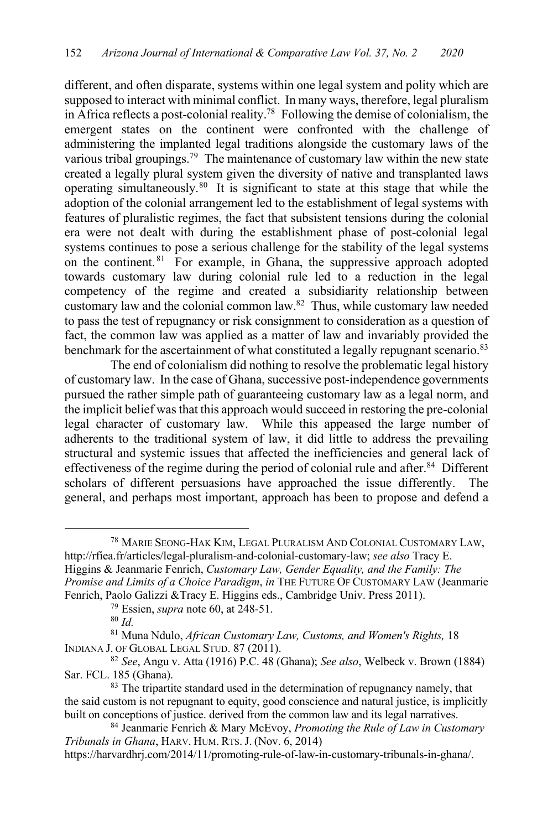different, and often disparate, systems within one legal system and polity which are supposed to interact with minimal conflict. In many ways, therefore, legal pluralism in Africa reflects a post-colonial reality.78 Following the demise of colonialism, the emergent states on the continent were confronted with the challenge of administering the implanted legal traditions alongside the customary laws of the various tribal groupings.<sup>79</sup> The maintenance of customary law within the new state created a legally plural system given the diversity of native and transplanted laws operating simultaneously.80 It is significant to state at this stage that while the adoption of the colonial arrangement led to the establishment of legal systems with features of pluralistic regimes, the fact that subsistent tensions during the colonial era were not dealt with during the establishment phase of post-colonial legal systems continues to pose a serious challenge for the stability of the legal systems on the continent.<sup>81</sup> For example, in Ghana, the suppressive approach adopted towards customary law during colonial rule led to a reduction in the legal competency of the regime and created a subsidiarity relationship between customary law and the colonial common law.82 Thus, while customary law needed to pass the test of repugnancy or risk consignment to consideration as a question of fact, the common law was applied as a matter of law and invariably provided the benchmark for the ascertainment of what constituted a legally repugnant scenario.<sup>83</sup>

The end of colonialism did nothing to resolve the problematic legal history of customary law. In the case of Ghana, successive post-independence governments pursued the rather simple path of guaranteeing customary law as a legal norm, and the implicit belief was that this approach would succeed in restoring the pre-colonial legal character of customary law. While this appeased the large number of adherents to the traditional system of law, it did little to address the prevailing structural and systemic issues that affected the inefficiencies and general lack of effectiveness of the regime during the period of colonial rule and after.<sup>84</sup> Different scholars of different persuasions have approached the issue differently. The general, and perhaps most important, approach has been to propose and defend a

<sup>78</sup> MARIE SEONG-HAK KIM, LEGAL PLURALISM AND COLONIAL CUSTOMARY LAW, http://rfiea.fr/articles/legal-pluralism-and-colonial-customary-law; *see also* Tracy E. Higgins & Jeanmarie Fenrich, *Customary Law, Gender Equality, and the Family: The Promise and Limits of a Choice Paradigm*, *in* THE FUTURE OF CUSTOMARY LAW (Jeanmarie Fenrich, Paolo Galizzi &Tracy E. Higgins eds., Cambridge Univ. Press 2011).

https://harvardhrj.com/2014/11/promoting-rule-of-law-in-customary-tribunals-in-ghana/.

<sup>79</sup> Essien, *supra* note 60, at 248-51.

<sup>80</sup> *Id.*

<sup>81</sup> Muna Ndulo, *African Customary Law, Customs, and Women's Rights,* 18 INDIANA J. OF GLOBAL LEGAL STUD. 87 (2011).

<sup>82</sup> *See*, Angu v. Atta (1916) P.C. 48 (Ghana); *See also*, Welbeck v. Brown (1884) Sar. FCL. 185 (Ghana).

 $83$  The tripartite standard used in the determination of repugnancy namely, that the said custom is not repugnant to equity, good conscience and natural justice, is implicitly built on conceptions of justice. derived from the common law and its legal narratives.

<sup>84</sup> Jeanmarie Fenrich & Mary McEvoy, *Promoting the Rule of Law in Customary Tribunals in Ghana*, HARV. HUM. RTS.J. (Nov. 6, 2014)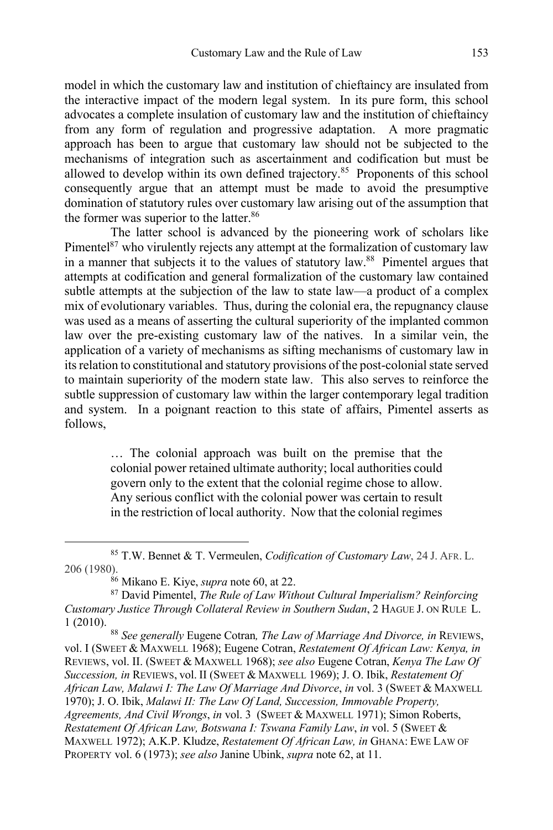model in which the customary law and institution of chieftaincy are insulated from the interactive impact of the modern legal system. In its pure form, this school advocates a complete insulation of customary law and the institution of chieftaincy from any form of regulation and progressive adaptation. A more pragmatic approach has been to argue that customary law should not be subjected to the mechanisms of integration such as ascertainment and codification but must be allowed to develop within its own defined trajectory.<sup>85</sup> Proponents of this school consequently argue that an attempt must be made to avoid the presumptive domination of statutory rules over customary law arising out of the assumption that the former was superior to the latter.<sup>86</sup>

The latter school is advanced by the pioneering work of scholars like Pimentel $87$  who virulently rejects any attempt at the formalization of customary law in a manner that subjects it to the values of statutory law.88 Pimentel argues that attempts at codification and general formalization of the customary law contained subtle attempts at the subjection of the law to state law—a product of a complex mix of evolutionary variables. Thus, during the colonial era, the repugnancy clause was used as a means of asserting the cultural superiority of the implanted common law over the pre-existing customary law of the natives. In a similar vein, the application of a variety of mechanisms as sifting mechanisms of customary law in its relation to constitutional and statutory provisions of the post-colonial state served to maintain superiority of the modern state law. This also serves to reinforce the subtle suppression of customary law within the larger contemporary legal tradition and system. In a poignant reaction to this state of affairs, Pimentel asserts as follows,

> … The colonial approach was built on the premise that the colonial power retained ultimate authority; local authorities could govern only to the extent that the colonial regime chose to allow. Any serious conflict with the colonial power was certain to result in the restriction of local authority. Now that the colonial regimes

<sup>88</sup> *See generally* Eugene Cotran*, The Law of Marriage And Divorce, in* REVIEWS, vol. I (SWEET & MAXWELL 1968); Eugene Cotran, *Restatement Of African Law: Kenya, in*  REVIEWS, vol. II. (SWEET & MAXWELL 1968); *see also* Eugene Cotran, *Kenya The Law Of Succession, in* REVIEWS, vol. II (SWEET & MAXWELL 1969); J. O. Ibik, *Restatement Of African Law, Malawi I: The Law Of Marriage And Divorce*, *in* vol. 3 (SWEET & MAXWELL 1970); J. O. Ibik, *Malawi II: The Law Of Land, Succession, Immovable Property, Agreements, And Civil Wrongs*, *in* vol. 3 (SWEET & MAXWELL 1971); Simon Roberts, *Restatement Of African Law, Botswana I: Tswana Family Law*, *in* vol. 5 (SWEET & MAXWELL 1972); A.K.P. Kludze, *Restatement Of African Law, in* GHANA: EWE LAW OF PROPERTY vol. 6 (1973); *see also* Janine Ubink, *supra* note 62, at 11.

<sup>85</sup> T.W. Bennet & T. Vermeulen, *Codification of Customary Law*, 24 J. AFR. L. 206 (1980).

<sup>86</sup> Mikano E. Kiye, *supra* note 60, at 22.

<sup>87</sup> David Pimentel, *The Rule of Law Without Cultural Imperialism? Reinforcing Customary Justice Through Collateral Review in Southern Sudan*, 2 HAGUE J. ON RULE L. 1 (2010).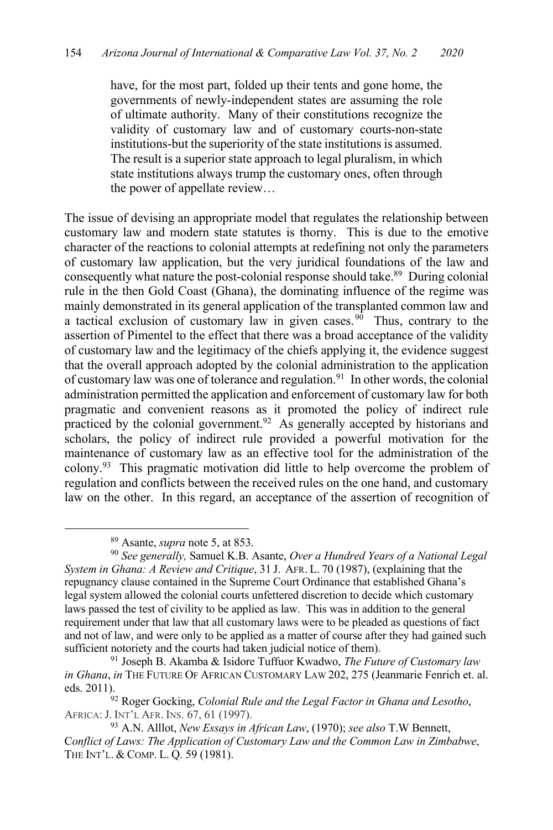have, for the most part, folded up their tents and gone home, the governments of newly-independent states are assuming the role of ultimate authority. Many of their constitutions recognize the validity of customary law and of customary courts-non-state institutions-but the superiority of the state institutions is assumed. The result is a superior state approach to legal pluralism, in which state institutions always trump the customary ones, often through the power of appellate review…

The issue of devising an appropriate model that regulates the relationship between customary law and modern state statutes is thorny. This is due to the emotive character of the reactions to colonial attempts at redefining not only the parameters of customary law application, but the very juridical foundations of the law and consequently what nature the post-colonial response should take.<sup>89</sup> During colonial rule in the then Gold Coast (Ghana), the dominating influence of the regime was mainly demonstrated in its general application of the transplanted common law and a tactical exclusion of customary law in given cases.  $90$  Thus, contrary to the assertion of Pimentel to the effect that there was a broad acceptance of the validity of customary law and the legitimacy of the chiefs applying it, the evidence suggest that the overall approach adopted by the colonial administration to the application of customary law was one of tolerance and regulation.<sup>91</sup> In other words, the colonial administration permitted the application and enforcement of customary law for both pragmatic and convenient reasons as it promoted the policy of indirect rule practiced by the colonial government.<sup>92</sup> As generally accepted by historians and scholars, the policy of indirect rule provided a powerful motivation for the maintenance of customary law as an effective tool for the administration of the colony.93 This pragmatic motivation did little to help overcome the problem of regulation and conflicts between the received rules on the one hand, and customary law on the other. In this regard, an acceptance of the assertion of recognition of

<sup>89</sup> Asante, *supra* note 5, at 853.

<sup>90</sup> *See generally,* Samuel K.B. Asante, *Over a Hundred Years of a National Legal System in Ghana: A Review and Critique*, 31 J. AFR. L. 70 (1987), (explaining that the repugnancy clause contained in the Supreme Court Ordinance that established Ghana's legal system allowed the colonial courts unfettered discretion to decide which customary laws passed the test of civility to be applied as law. This was in addition to the general requirement under that law that all customary laws were to be pleaded as questions of fact and not of law, and were only to be applied as a matter of course after they had gained such sufficient notoriety and the courts had taken judicial notice of them).

<sup>91</sup> Joseph B. Akamba & Isidore Tuffuor Kwadwo, *The Future of Customary law in Ghana*, *in* THE FUTURE OF AFRICAN CUSTOMARY LAW 202, 275 (Jeanmarie Fenrich et. al. eds. 2011). 92 Roger Gocking, *Colonial Rule and the Legal Factor in Ghana and Lesotho*,

AFRICA:J. INT'L AFR. INS. 67, 61 (1997).

<sup>93</sup> A.N. Alllot, *New Essays in African Law*, (1970); *see also* T.W Bennett, C*onflict of Laws: The Application of Customary Law and the Common Law in Zimbabwe*, THE INT'L. & COMP. L. Q. 59 (1981).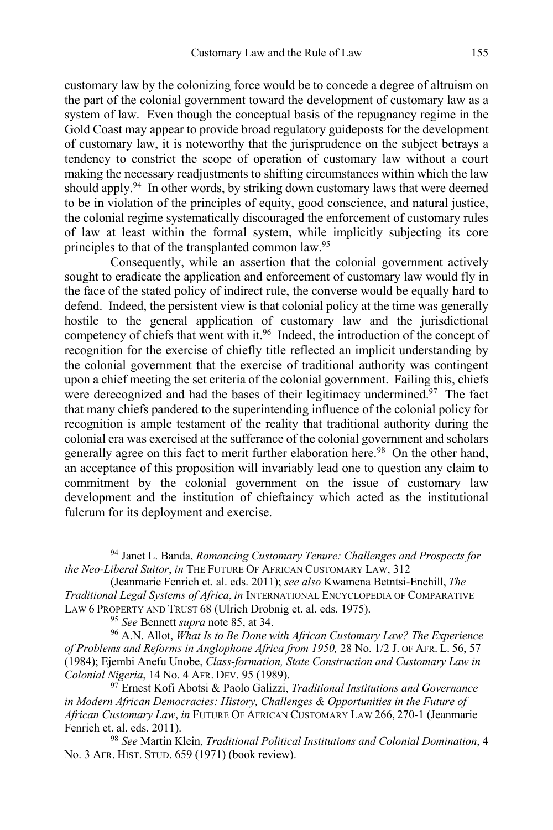customary law by the colonizing force would be to concede a degree of altruism on the part of the colonial government toward the development of customary law as a system of law. Even though the conceptual basis of the repugnancy regime in the Gold Coast may appear to provide broad regulatory guideposts for the development of customary law, it is noteworthy that the jurisprudence on the subject betrays a tendency to constrict the scope of operation of customary law without a court making the necessary readjustments to shifting circumstances within which the law should apply.<sup>94</sup> In other words, by striking down customary laws that were deemed to be in violation of the principles of equity, good conscience, and natural justice, the colonial regime systematically discouraged the enforcement of customary rules of law at least within the formal system, while implicitly subjecting its core principles to that of the transplanted common law.<sup>95</sup>

Consequently, while an assertion that the colonial government actively sought to eradicate the application and enforcement of customary law would fly in the face of the stated policy of indirect rule, the converse would be equally hard to defend. Indeed, the persistent view is that colonial policy at the time was generally hostile to the general application of customary law and the jurisdictional competency of chiefs that went with it.96 Indeed, the introduction of the concept of recognition for the exercise of chiefly title reflected an implicit understanding by the colonial government that the exercise of traditional authority was contingent upon a chief meeting the set criteria of the colonial government. Failing this, chiefs were derecognized and had the bases of their legitimacy undermined.<sup>97</sup> The fact that many chiefs pandered to the superintending influence of the colonial policy for recognition is ample testament of the reality that traditional authority during the colonial era was exercised at the sufferance of the colonial government and scholars generally agree on this fact to merit further elaboration here.<sup>98</sup> On the other hand, an acceptance of this proposition will invariably lead one to question any claim to commitment by the colonial government on the issue of customary law development and the institution of chieftaincy which acted as the institutional fulcrum for its deployment and exercise.

<sup>94</sup> Janet L. Banda, *Romancing Customary Tenure: Challenges and Prospects for the Neo-Liberal Suitor*, *in* THE FUTURE OF AFRICAN CUSTOMARY LAW, 312

<sup>(</sup>Jeanmarie Fenrich et. al. eds. 2011); *see also* Kwamena Betntsi-Enchill, *The Traditional Legal Systems of Africa*, *in* INTERNATIONAL ENCYCLOPEDIA OF COMPARATIVE LAW 6 PROPERTY AND TRUST 68 (Ulrich Drobnig et. al. eds. 1975).

<sup>95</sup> *See* Bennett *supra* note 85, at 34.

<sup>96</sup> A.N. Allot, *What Is to Be Done with African Customary Law? The Experience of Problems and Reforms in Anglophone Africa from 1950,* 28 No. 1/2 J. OF AFR. L. 56, 57 (1984); Ejembi Anefu Unobe, *Class-formation, State Construction and Customary Law in Colonial Nigeria*, 14 No. 4 AFR. DEV. 95 (1989).

<sup>97</sup> Ernest Kofi Abotsi & Paolo Galizzi, *Traditional Institutions and Governance in Modern African Democracies: History, Challenges & Opportunities in the Future of African Customary Law*, *in* FUTURE OF AFRICAN CUSTOMARY LAW 266, 270-1 (Jeanmarie Fenrich et. al. eds. 2011).

<sup>98</sup> *See* Martin Klein, *Traditional Political Institutions and Colonial Domination*, 4 No. 3 AFR. HIST. STUD. 659 (1971) (book review).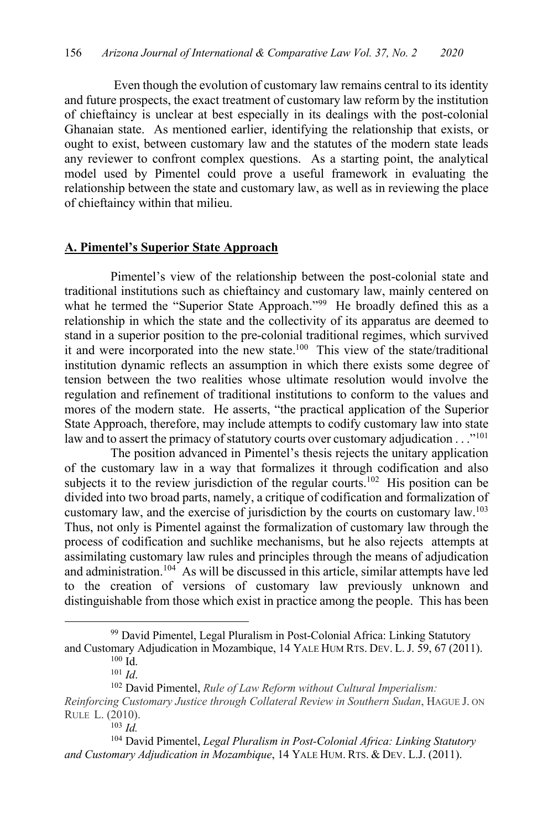Even though the evolution of customary law remains central to its identity and future prospects, the exact treatment of customary law reform by the institution of chieftaincy is unclear at best especially in its dealings with the post-colonial Ghanaian state. As mentioned earlier, identifying the relationship that exists, or ought to exist, between customary law and the statutes of the modern state leads any reviewer to confront complex questions. As a starting point, the analytical model used by Pimentel could prove a useful framework in evaluating the relationship between the state and customary law, as well as in reviewing the place of chieftaincy within that milieu.

### **A. Pimentel's Superior State Approach**

Pimentel's view of the relationship between the post-colonial state and traditional institutions such as chieftaincy and customary law, mainly centered on what he termed the "Superior State Approach."<sup>99</sup> He broadly defined this as a relationship in which the state and the collectivity of its apparatus are deemed to stand in a superior position to the pre-colonial traditional regimes, which survived it and were incorporated into the new state.<sup>100</sup> This view of the state/traditional institution dynamic reflects an assumption in which there exists some degree of tension between the two realities whose ultimate resolution would involve the regulation and refinement of traditional institutions to conform to the values and mores of the modern state. He asserts, "the practical application of the Superior State Approach, therefore, may include attempts to codify customary law into state law and to assert the primacy of statutory courts over customary adjudication . . ."<sup>101</sup>

The position advanced in Pimentel's thesis rejects the unitary application of the customary law in a way that formalizes it through codification and also subjects it to the review jurisdiction of the regular courts.<sup>102</sup> His position can be divided into two broad parts, namely, a critique of codification and formalization of customary law, and the exercise of jurisdiction by the courts on customary law.103 Thus, not only is Pimentel against the formalization of customary law through the process of codification and suchlike mechanisms, but he also rejects attempts at assimilating customary law rules and principles through the means of adjudication and administration.<sup>104</sup> As will be discussed in this article, similar attempts have led to the creation of versions of customary law previously unknown and distinguishable from those which exist in practice among the people. This has been

<sup>&</sup>lt;sup>99</sup> David Pimentel, Legal Pluralism in Post-Colonial Africa: Linking Statutory and Customary Adjudication in Mozambique, 14 YALE HUM RTS. DEV. L.J. 59, 67 (2011).

 $100$  Id.

<sup>101</sup> *Id*.

<sup>102</sup> David Pimentel, *Rule of Law Reform without Cultural Imperialism:* 

*Reinforcing Customary Justice through Collateral Review in Southern Sudan*, HAGUE J. ON RULE L. (2010).

<sup>103</sup> *Id.*

<sup>104</sup> David Pimentel, *Legal Pluralism in Post-Colonial Africa: Linking Statutory and Customary Adjudication in Mozambique*, 14 YALE HUM. RTS. & DEV. L.J. (2011).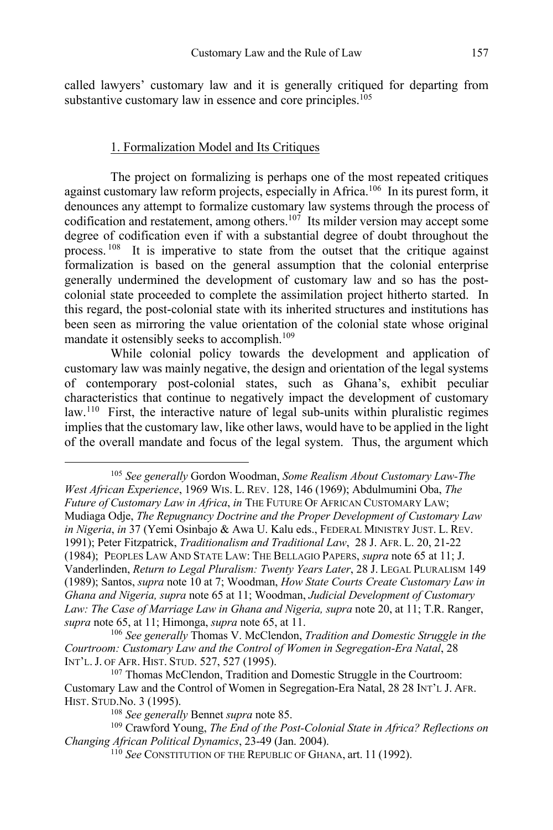called lawyers' customary law and it is generally critiqued for departing from substantive customary law in essence and core principles.<sup>105</sup>

#### 1. Formalization Model and Its Critiques

The project on formalizing is perhaps one of the most repeated critiques against customary law reform projects, especially in Africa.106 In its purest form, it denounces any attempt to formalize customary law systems through the process of codification and restatement, among others.<sup>107</sup> Its milder version may accept some degree of codification even if with a substantial degree of doubt throughout the process. 108 It is imperative to state from the outset that the critique against formalization is based on the general assumption that the colonial enterprise generally undermined the development of customary law and so has the postcolonial state proceeded to complete the assimilation project hitherto started. In this regard, the post-colonial state with its inherited structures and institutions has been seen as mirroring the value orientation of the colonial state whose original mandate it ostensibly seeks to accomplish.<sup>109</sup>

While colonial policy towards the development and application of customary law was mainly negative, the design and orientation of the legal systems of contemporary post-colonial states, such as Ghana's, exhibit peculiar characteristics that continue to negatively impact the development of customary law.110 First, the interactive nature of legal sub-units within pluralistic regimes implies that the customary law, like other laws, would have to be applied in the light of the overall mandate and focus of the legal system. Thus, the argument which

<sup>105</sup> *See generally* Gordon Woodman, *Some Realism About Customary Law-The West African Experience*, 1969 WIS. L. REV. 128, 146 (1969); Abdulmumini Oba, *The Future of Customary Law in Africa*, *in* THE FUTURE OF AFRICAN CUSTOMARY LAW; Mudiaga Odje, *The Repugnancy Doctrine and the Proper Development of Customary Law in Nigeria*, *in* 37 (Yemi Osinbajo & Awa U. Kalu eds., FEDERAL MINISTRY JUST. L. REV. 1991); Peter Fitzpatrick, *Traditionalism and Traditional Law*, 28 J. AFR. L. 20, 21-22 (1984); PEOPLES LAW AND STATE LAW: THE BELLAGIO PAPERS, *supra* note 65 at 11; J. Vanderlinden, *Return to Legal Pluralism: Twenty Years Later*, 28 J. LEGAL PLURALISM 149 (1989); Santos, *supra* note 10 at 7; Woodman, *How State Courts Create Customary Law in Ghana and Nigeria, supra* note 65 at 11; Woodman, *Judicial Development of Customary Law: The Case of Marriage Law in Ghana and Nigeria, supra* note 20, at 11; T.R. Ranger, *supra* note 65, at 11; Himonga, *supra* note 65, at 11.<br><sup>106</sup> *See generally* Thomas V. McClendon, *Tradition and Domestic Struggle in the* 

*Courtroom: Customary Law and the Control of Women in Segregation-Era Natal*, 28 INT'L.J. OF AFR. HIST. STUD. 527, 527 (1995).

<sup>107</sup> Thomas McClendon, Tradition and Domestic Struggle in the Courtroom: Customary Law and the Control of Women in Segregation-Era Natal, 28 28 INT'L J. AFR. HIST. STUD.No. 3 (1995).

<sup>108</sup> *See generally* Bennet *supra* note 85.

<sup>109</sup> Crawford Young, *The End of the Post-Colonial State in Africa? Reflections on Changing African Political Dynamics*, 23-49 (Jan. 2004).

<sup>110</sup> *See* CONSTITUTION OF THE REPUBLIC OF GHANA, art. 11 (1992).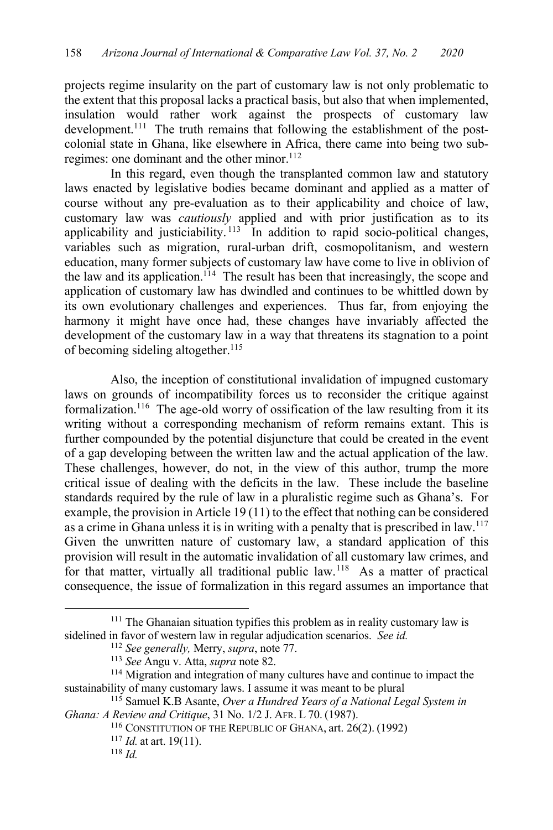projects regime insularity on the part of customary law is not only problematic to the extent that this proposal lacks a practical basis, but also that when implemented, insulation would rather work against the prospects of customary law development.<sup>111</sup> The truth remains that following the establishment of the postcolonial state in Ghana, like elsewhere in Africa, there came into being two subregimes: one dominant and the other minor.<sup>112</sup>

In this regard, even though the transplanted common law and statutory laws enacted by legislative bodies became dominant and applied as a matter of course without any pre-evaluation as to their applicability and choice of law, customary law was *cautiously* applied and with prior justification as to its applicability and justiciability.  $113$  In addition to rapid socio-political changes, variables such as migration, rural-urban drift, cosmopolitanism, and western education, many former subjects of customary law have come to live in oblivion of the law and its application.<sup>114</sup> The result has been that increasingly, the scope and application of customary law has dwindled and continues to be whittled down by its own evolutionary challenges and experiences. Thus far, from enjoying the harmony it might have once had, these changes have invariably affected the development of the customary law in a way that threatens its stagnation to a point of becoming sideling altogether.<sup>115</sup>

Also, the inception of constitutional invalidation of impugned customary laws on grounds of incompatibility forces us to reconsider the critique against formalization.116 The age-old worry of ossification of the law resulting from it its writing without a corresponding mechanism of reform remains extant. This is further compounded by the potential disjuncture that could be created in the event of a gap developing between the written law and the actual application of the law. These challenges, however, do not, in the view of this author, trump the more critical issue of dealing with the deficits in the law. These include the baseline standards required by the rule of law in a pluralistic regime such as Ghana's. For example, the provision in Article 19 (11) to the effect that nothing can be considered as a crime in Ghana unless it is in writing with a penalty that is prescribed in  $\mu$ <sup>117</sup> Given the unwritten nature of customary law, a standard application of this provision will result in the automatic invalidation of all customary law crimes, and for that matter, virtually all traditional public law.<sup>118</sup> As a matter of practical consequence, the issue of formalization in this regard assumes an importance that

<sup>&</sup>lt;sup>111</sup> The Ghanaian situation typifies this problem as in reality customary law is sidelined in favor of western law in regular adjudication scenarios. *See id.*

<sup>112</sup> *See generally,* Merry, *supra*, note 77. 113 *See* Angu v. Atta, *supra* note 82.

<sup>&</sup>lt;sup>114</sup> Migration and integration of many cultures have and continue to impact the sustainability of many customary laws. I assume it was meant to be plural

<sup>115</sup> Samuel K.B Asante, *Over a Hundred Years of a National Legal System in Ghana: A Review and Critique*, 31 No. 1/2 J. AFR. L 70. (1987).

<sup>116</sup> CONSTITUTION OF THE REPUBLIC OF GHANA, art. 26(2). (1992)

<sup>117</sup> *Id.* at art. 19(11).

<sup>118</sup> *Id.*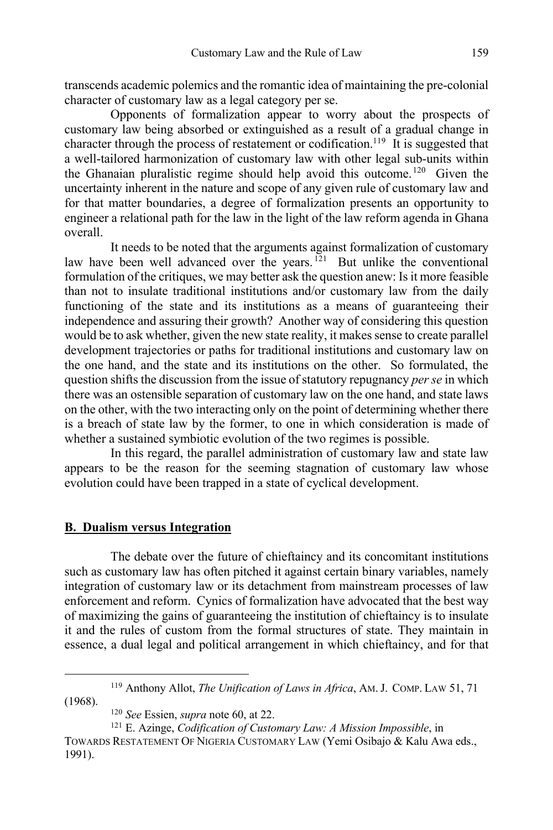transcends academic polemics and the romantic idea of maintaining the pre-colonial character of customary law as a legal category per se.

Opponents of formalization appear to worry about the prospects of customary law being absorbed or extinguished as a result of a gradual change in character through the process of restatement or codification.<sup>119</sup> It is suggested that a well-tailored harmonization of customary law with other legal sub-units within the Ghanaian pluralistic regime should help avoid this outcome. 120 Given the uncertainty inherent in the nature and scope of any given rule of customary law and for that matter boundaries, a degree of formalization presents an opportunity to engineer a relational path for the law in the light of the law reform agenda in Ghana overall.

It needs to be noted that the arguments against formalization of customary law have been well advanced over the years.<sup>121</sup> But unlike the conventional formulation of the critiques, we may better ask the question anew: Is it more feasible than not to insulate traditional institutions and/or customary law from the daily functioning of the state and its institutions as a means of guaranteeing their independence and assuring their growth? Another way of considering this question would be to ask whether, given the new state reality, it makes sense to create parallel development trajectories or paths for traditional institutions and customary law on the one hand, and the state and its institutions on the other. So formulated, the question shifts the discussion from the issue of statutory repugnancy *per se* in which there was an ostensible separation of customary law on the one hand, and state laws on the other, with the two interacting only on the point of determining whether there is a breach of state law by the former, to one in which consideration is made of whether a sustained symbiotic evolution of the two regimes is possible.

In this regard, the parallel administration of customary law and state law appears to be the reason for the seeming stagnation of customary law whose evolution could have been trapped in a state of cyclical development.

## **B. Dualism versus Integration**

The debate over the future of chieftaincy and its concomitant institutions such as customary law has often pitched it against certain binary variables, namely integration of customary law or its detachment from mainstream processes of law enforcement and reform. Cynics of formalization have advocated that the best way of maximizing the gains of guaranteeing the institution of chieftaincy is to insulate it and the rules of custom from the formal structures of state. They maintain in essence, a dual legal and political arrangement in which chieftaincy, and for that

<sup>119</sup> Anthony Allot, *The Unification of Laws in Africa*, AM.J. COMP. LAW 51, 71 (1968).

<sup>120</sup> *See* Essien, *supra* note 60, at 22.

<sup>121</sup> E. Azinge, *Codification of Customary Law: A Mission Impossible*, in

TOWARDS RESTATEMENT OF NIGERIA CUSTOMARY LAW (Yemi Osibajo & Kalu Awa eds., 1991).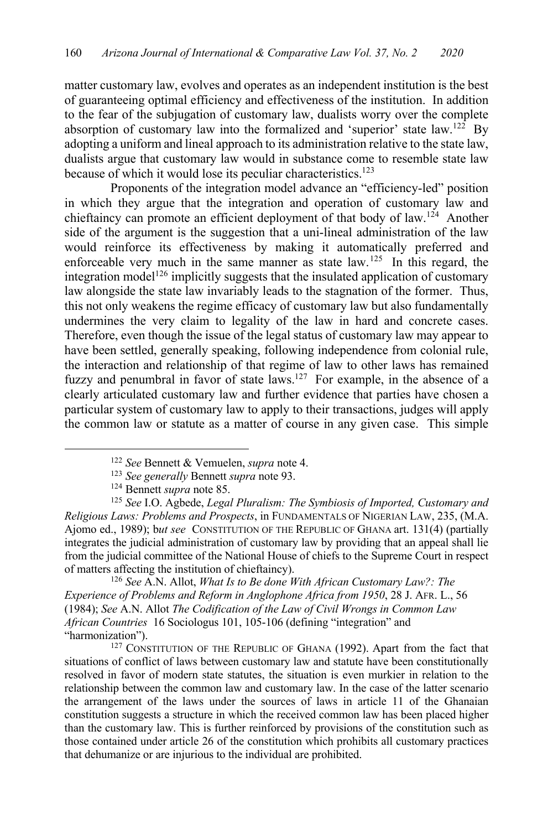matter customary law, evolves and operates as an independent institution is the best of guaranteeing optimal efficiency and effectiveness of the institution. In addition to the fear of the subjugation of customary law, dualists worry over the complete absorption of customary law into the formalized and 'superior' state law.122 By adopting a uniform and lineal approach to its administration relative to the state law, dualists argue that customary law would in substance come to resemble state law because of which it would lose its peculiar characteristics.<sup>123</sup>

Proponents of the integration model advance an "efficiency-led" position in which they argue that the integration and operation of customary law and chieftaincy can promote an efficient deployment of that body of law.<sup>124</sup> Another side of the argument is the suggestion that a uni-lineal administration of the law would reinforce its effectiveness by making it automatically preferred and enforceable very much in the same manner as state law.125 In this regard, the integration model<sup>126</sup> implicitly suggests that the insulated application of customary law alongside the state law invariably leads to the stagnation of the former. Thus, this not only weakens the regime efficacy of customary law but also fundamentally undermines the very claim to legality of the law in hard and concrete cases. Therefore, even though the issue of the legal status of customary law may appear to have been settled, generally speaking, following independence from colonial rule, the interaction and relationship of that regime of law to other laws has remained fuzzy and penumbral in favor of state laws.<sup>127</sup> For example, in the absence of a clearly articulated customary law and further evidence that parties have chosen a particular system of customary law to apply to their transactions, judges will apply the common law or statute as a matter of course in any given case. This simple

<sup>125</sup> *See* I.O. Agbede, *Legal Pluralism: The Symbiosis of Imported, Customary and Religious Laws: Problems and Prospects*, in FUNDAMENTALS OF NIGERIAN LAW, 235, (M.A. Ajomo ed., 1989); b*ut see* CONSTITUTION OF THE REPUBLIC OF GHANA art. 131(4) (partially integrates the judicial administration of customary law by providing that an appeal shall lie from the judicial committee of the National House of chiefs to the Supreme Court in respect of matters affecting the institution of chieftaincy).

<sup>126</sup> *See* A.N. Allot, *What Is to Be done With African Customary Law?: The Experience of Problems and Reform in Anglophone Africa from 1950*, 28 J. AFR. L., 56 (1984); *See* A.N. Allot *The Codification of the Law of Civil Wrongs in Common Law African Countries* 16 Sociologus 101, 105-106 (defining "integration" and "harmonization").

<sup>127</sup> CONSTITUTION OF THE REPUBLIC OF GHANA (1992). Apart from the fact that situations of conflict of laws between customary law and statute have been constitutionally resolved in favor of modern state statutes, the situation is even murkier in relation to the relationship between the common law and customary law. In the case of the latter scenario the arrangement of the laws under the sources of laws in article 11 of the Ghanaian constitution suggests a structure in which the received common law has been placed higher than the customary law. This is further reinforced by provisions of the constitution such as those contained under article 26 of the constitution which prohibits all customary practices that dehumanize or are injurious to the individual are prohibited.

<sup>122</sup> *See* Bennett & Vemuelen, *supra* note 4.

<sup>123</sup> *See generally* Bennett *supra* note 93.

<sup>124</sup> Bennett *supra* note 85.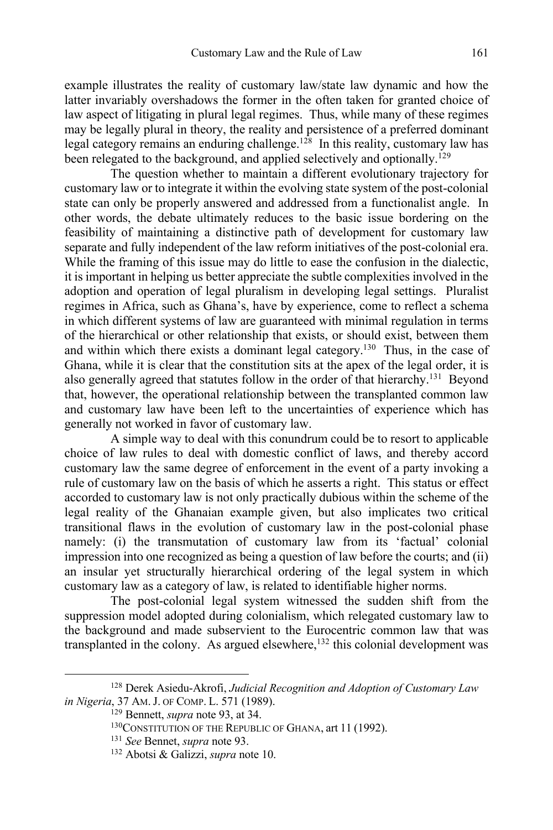example illustrates the reality of customary law/state law dynamic and how the latter invariably overshadows the former in the often taken for granted choice of law aspect of litigating in plural legal regimes. Thus, while many of these regimes may be legally plural in theory, the reality and persistence of a preferred dominant legal category remains an enduring challenge.<sup>128</sup> In this reality, customary law has been relegated to the background, and applied selectively and optionally.<sup>129</sup>

The question whether to maintain a different evolutionary trajectory for customary law or to integrate it within the evolving state system of the post-colonial state can only be properly answered and addressed from a functionalist angle. In other words, the debate ultimately reduces to the basic issue bordering on the feasibility of maintaining a distinctive path of development for customary law separate and fully independent of the law reform initiatives of the post-colonial era. While the framing of this issue may do little to ease the confusion in the dialectic, it is important in helping us better appreciate the subtle complexities involved in the adoption and operation of legal pluralism in developing legal settings. Pluralist regimes in Africa, such as Ghana's, have by experience, come to reflect a schema in which different systems of law are guaranteed with minimal regulation in terms of the hierarchical or other relationship that exists, or should exist, between them and within which there exists a dominant legal category.<sup>130</sup> Thus, in the case of Ghana, while it is clear that the constitution sits at the apex of the legal order, it is also generally agreed that statutes follow in the order of that hierarchy.131 Beyond that, however, the operational relationship between the transplanted common law and customary law have been left to the uncertainties of experience which has generally not worked in favor of customary law.

A simple way to deal with this conundrum could be to resort to applicable choice of law rules to deal with domestic conflict of laws, and thereby accord customary law the same degree of enforcement in the event of a party invoking a rule of customary law on the basis of which he asserts a right. This status or effect accorded to customary law is not only practically dubious within the scheme of the legal reality of the Ghanaian example given, but also implicates two critical transitional flaws in the evolution of customary law in the post-colonial phase namely: (i) the transmutation of customary law from its 'factual' colonial impression into one recognized as being a question of law before the courts; and (ii) an insular yet structurally hierarchical ordering of the legal system in which customary law as a category of law, is related to identifiable higher norms.

The post-colonial legal system witnessed the sudden shift from the suppression model adopted during colonialism, which relegated customary law to the background and made subservient to the Eurocentric common law that was transplanted in the colony. As argued elsewhere, $132$  this colonial development was

<sup>128</sup> Derek Asiedu-Akrofi, *Judicial Recognition and Adoption of Customary Law in Nigeria*, 37 AM.J. OF COMP. L. 571 (1989).

<sup>129</sup> Bennett, *supra* note 93, at 34.

<sup>130</sup>CONSTITUTION OF THE REPUBLIC OF GHANA, art 11 (1992).

<sup>131</sup> *See* Bennet, *supra* note 93.

<sup>132</sup> Abotsi & Galizzi, *supra* note 10.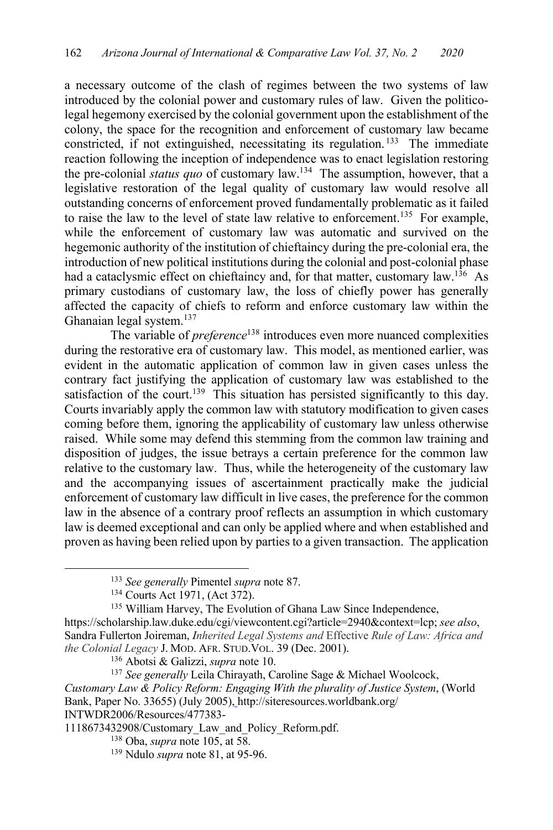a necessary outcome of the clash of regimes between the two systems of law introduced by the colonial power and customary rules of law. Given the politicolegal hegemony exercised by the colonial government upon the establishment of the colony, the space for the recognition and enforcement of customary law became constricted, if not extinguished, necessitating its regulation. 133 The immediate reaction following the inception of independence was to enact legislation restoring the pre-colonial *status quo* of customary law.134 The assumption, however, that a legislative restoration of the legal quality of customary law would resolve all outstanding concerns of enforcement proved fundamentally problematic as it failed to raise the law to the level of state law relative to enforcement.<sup>135</sup> For example, while the enforcement of customary law was automatic and survived on the hegemonic authority of the institution of chieftaincy during the pre-colonial era, the introduction of new political institutions during the colonial and post-colonial phase had a cataclysmic effect on chieftaincy and, for that matter, customary law.<sup>136</sup> As primary custodians of customary law, the loss of chiefly power has generally affected the capacity of chiefs to reform and enforce customary law within the Ghanaian legal system.137

The variable of *preference*<sup>138</sup> introduces even more nuanced complexities during the restorative era of customary law. This model, as mentioned earlier, was evident in the automatic application of common law in given cases unless the contrary fact justifying the application of customary law was established to the satisfaction of the court.<sup>139</sup> This situation has persisted significantly to this day. Courts invariably apply the common law with statutory modification to given cases coming before them, ignoring the applicability of customary law unless otherwise raised. While some may defend this stemming from the common law training and disposition of judges, the issue betrays a certain preference for the common law relative to the customary law. Thus, while the heterogeneity of the customary law and the accompanying issues of ascertainment practically make the judicial enforcement of customary law difficult in live cases, the preference for the common law in the absence of a contrary proof reflects an assumption in which customary law is deemed exceptional and can only be applied where and when established and proven as having been relied upon by parties to a given transaction. The application

<sup>133</sup> *See generally* Pimentel *supra* note 87.

<sup>134</sup> Courts Act 1971, (Act 372).

<sup>135</sup> William Harvey, The Evolution of Ghana Law Since Independence,

https://scholarship.law.duke.edu/cgi/viewcontent.cgi?article=2940&context=lcp; *see also*, Sandra Fullerton Joireman, *Inherited Legal Systems and* Effective *Rule of Law: Africa and the Colonial Legacy* J. MOD. AFR. STUD.VOL. 39 (Dec. 2001).

<sup>136</sup> Abotsi & Galizzi, *supra* note 10.

<sup>137</sup> *See generally* Leila Chirayath, Caroline Sage & Michael Woolcock, *Customary Law & Policy Reform: Engaging With the plurality of Justice System*, (World Bank, Paper No. 33655) (July 2005), http://siteresources.worldbank.org/ INTWDR2006/Resources/477383-

<sup>1118673432908/</sup>Customary\_Law\_and\_Policy\_Reform.pdf.

<sup>138</sup> Oba, *supra* note 105, at 58.

<sup>139</sup> Ndulo *supra* note 81, at 95-96.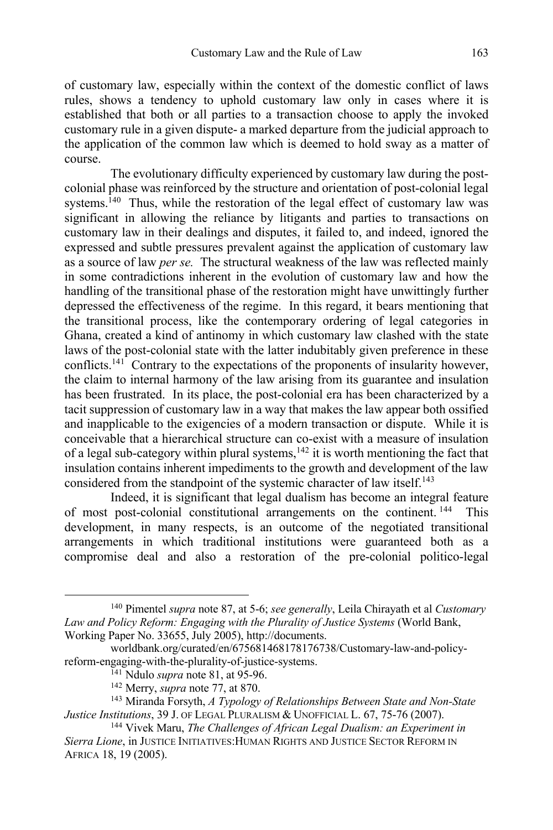of customary law, especially within the context of the domestic conflict of laws rules, shows a tendency to uphold customary law only in cases where it is established that both or all parties to a transaction choose to apply the invoked customary rule in a given dispute- a marked departure from the judicial approach to the application of the common law which is deemed to hold sway as a matter of course.

The evolutionary difficulty experienced by customary law during the postcolonial phase was reinforced by the structure and orientation of post-colonial legal systems.<sup>140</sup> Thus, while the restoration of the legal effect of customary law was significant in allowing the reliance by litigants and parties to transactions on customary law in their dealings and disputes, it failed to, and indeed, ignored the expressed and subtle pressures prevalent against the application of customary law as a source of law *per se.* The structural weakness of the law was reflected mainly in some contradictions inherent in the evolution of customary law and how the handling of the transitional phase of the restoration might have unwittingly further depressed the effectiveness of the regime. In this regard, it bears mentioning that the transitional process, like the contemporary ordering of legal categories in Ghana, created a kind of antinomy in which customary law clashed with the state laws of the post-colonial state with the latter indubitably given preference in these conflicts.141 Contrary to the expectations of the proponents of insularity however, the claim to internal harmony of the law arising from its guarantee and insulation has been frustrated. In its place, the post-colonial era has been characterized by a tacit suppression of customary law in a way that makes the law appear both ossified and inapplicable to the exigencies of a modern transaction or dispute. While it is conceivable that a hierarchical structure can co-exist with a measure of insulation of a legal sub-category within plural systems, $142$  it is worth mentioning the fact that insulation contains inherent impediments to the growth and development of the law considered from the standpoint of the systemic character of law itself.<sup>143</sup>

Indeed, it is significant that legal dualism has become an integral feature of most post-colonial constitutional arrangements on the continent. 144 This development, in many respects, is an outcome of the negotiated transitional arrangements in which traditional institutions were guaranteed both as a compromise deal and also a restoration of the pre-colonial politico-legal

<sup>140</sup> Pimentel *supra* note 87, at 5-6; *see generally*, Leila Chirayath et al *Customary Law and Policy Reform: Engaging with the Plurality of Justice Systems* (World Bank, Working Paper No. 33655, July 2005), http://documents.

worldbank.org/curated/en/675681468178176738/Customary-law-and-policyreform-engaging-with-the-plurality-of-justice-systems.

<sup>141</sup> Ndulo *supra* note 81, at 95-96.

<sup>142</sup> Merry, *supra* note 77, at 870.

<sup>143</sup> Miranda Forsyth, *A Typology of Relationships Between State and Non-State Justice Institutions*, 39 J. OF LEGAL PLURALISM & UNOFFICIAL L. 67, 75-76 (2007).

<sup>144</sup> Vivek Maru, *The Challenges of African Legal Dualism: an Experiment in Sierra Lione*, in JUSTICE INITIATIVES:HUMAN RIGHTS AND JUSTICE SECTOR REFORM IN AFRICA 18, 19 (2005).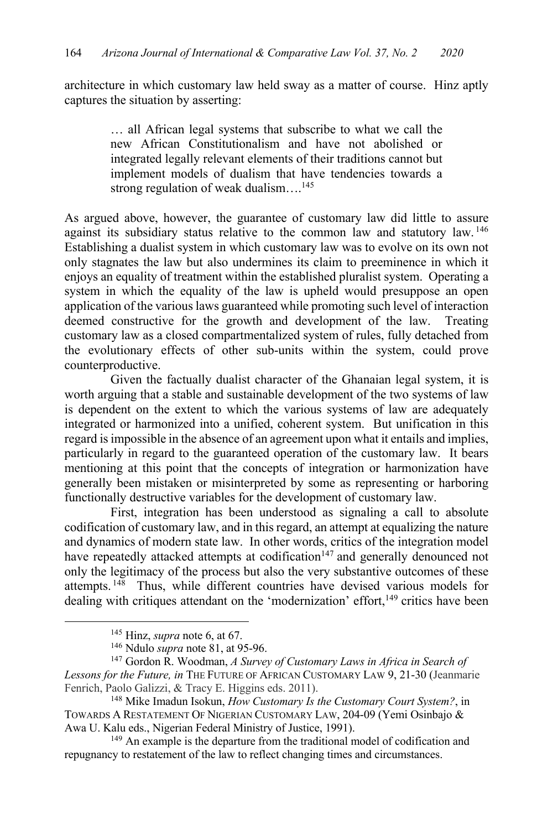architecture in which customary law held sway as a matter of course. Hinz aptly captures the situation by asserting:

> … all African legal systems that subscribe to what we call the new African Constitutionalism and have not abolished or integrated legally relevant elements of their traditions cannot but implement models of dualism that have tendencies towards a strong regulation of weak dualism....<sup>145</sup>

As argued above, however, the guarantee of customary law did little to assure against its subsidiary status relative to the common law and statutory law.<sup>146</sup> Establishing a dualist system in which customary law was to evolve on its own not only stagnates the law but also undermines its claim to preeminence in which it enjoys an equality of treatment within the established pluralist system. Operating a system in which the equality of the law is upheld would presuppose an open application of the various laws guaranteed while promoting such level of interaction deemed constructive for the growth and development of the law. Treating customary law as a closed compartmentalized system of rules, fully detached from the evolutionary effects of other sub-units within the system, could prove counterproductive.

Given the factually dualist character of the Ghanaian legal system, it is worth arguing that a stable and sustainable development of the two systems of law is dependent on the extent to which the various systems of law are adequately integrated or harmonized into a unified, coherent system. But unification in this regard is impossible in the absence of an agreement upon what it entails and implies, particularly in regard to the guaranteed operation of the customary law. It bears mentioning at this point that the concepts of integration or harmonization have generally been mistaken or misinterpreted by some as representing or harboring functionally destructive variables for the development of customary law.

First, integration has been understood as signaling a call to absolute codification of customary law, and in this regard, an attempt at equalizing the nature and dynamics of modern state law. In other words, critics of the integration model have repeatedly attacked attempts at codification<sup>147</sup> and generally denounced not only the legitimacy of the process but also the very substantive outcomes of these attempts. 148 Thus, while different countries have devised various models for dealing with critiques attendant on the 'modernization' effort,<sup>149</sup> critics have been

<sup>145</sup> Hinz, *supra* note 6, at 67.

<sup>146</sup> Ndulo *supra* note 81, at 95-96.

<sup>147</sup> Gordon R. Woodman, *A Survey of Customary Laws in Africa in Search of Lessons for the Future, in* THE FUTURE OF AFRICAN CUSTOMARY LAW 9, 21-30 (Jeanmarie Fenrich, Paolo Galizzi, & Tracy E. Higgins eds. 2011).

<sup>148</sup> Mike Imadun Isokun, *How Customary Is the Customary Court System?*, in TOWARDS A RESTATEMENT OF NIGERIAN CUSTOMARY LAW, 204-09 (Yemi Osinbajo &

Awa U. Kalu eds., Nigerian Federal Ministry of Justice, 1991).<br><sup>149</sup> An example is the departure from the traditional model of codification and repugnancy to restatement of the law to reflect changing times and circumstances.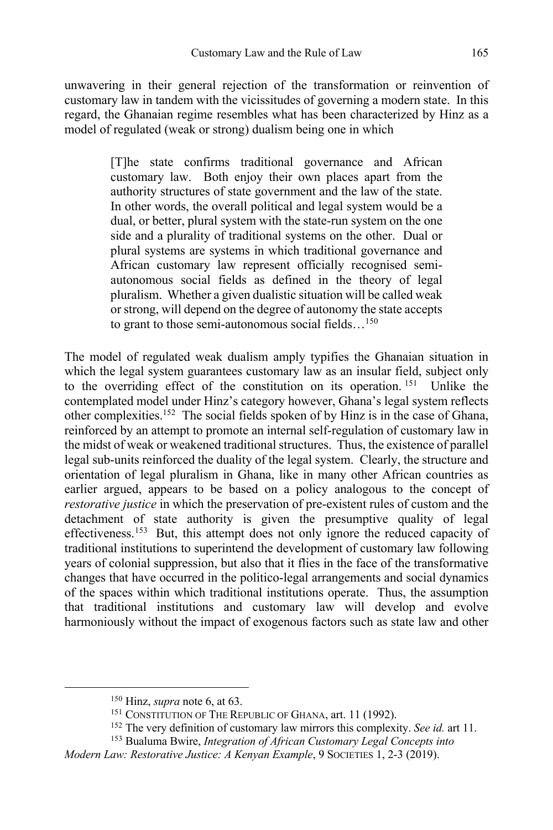unwavering in their general rejection of the transformation or reinvention of customary law in tandem with the vicissitudes of governing a modern state. In this regard, the Ghanaian regime resembles what has been characterized by Hinz as a model of regulated (weak or strong) dualism being one in which

> [T]he state confirms traditional governance and African customary law. Both enjoy their own places apart from the authority structures of state government and the law of the state. In other words, the overall political and legal system would be a dual, or better, plural system with the state-run system on the one side and a plurality of traditional systems on the other. Dual or plural systems are systems in which traditional governance and African customary law represent officially recognised semiautonomous social fields as defined in the theory of legal pluralism. Whether a given dualistic situation will be called weak or strong, will depend on the degree of autonomy the state accepts to grant to those semi-autonomous social fields...<sup>150</sup>

The model of regulated weak dualism amply typifies the Ghanaian situation in which the legal system guarantees customary law as an insular field, subject only to the overriding effect of the constitution on its operation. <sup>151</sup> Unlike the contemplated model under Hinz's category however, Ghana's legal system reflects other complexities.152 The social fields spoken of by Hinz is in the case of Ghana, reinforced by an attempt to promote an internal self-regulation of customary law in the midst of weak or weakened traditional structures. Thus, the existence of parallel legal sub-units reinforced the duality of the legal system. Clearly, the structure and orientation of legal pluralism in Ghana, like in many other African countries as earlier argued, appears to be based on a policy analogous to the concept of *restorative justice* in which the preservation of pre-existent rules of custom and the detachment of state authority is given the presumptive quality of legal effectiveness.153 But, this attempt does not only ignore the reduced capacity of traditional institutions to superintend the development of customary law following years of colonial suppression, but also that it flies in the face of the transformative changes that have occurred in the politico-legal arrangements and social dynamics of the spaces within which traditional institutions operate. Thus, the assumption that traditional institutions and customary law will develop and evolve harmoniously without the impact of exogenous factors such as state law and other

<sup>150</sup> Hinz, *supra* note 6, at 63.

<sup>151</sup> CONSTITUTION OF THE REPUBLIC OF GHANA, art. 11 (1992).

<sup>152</sup> The very definition of customary law mirrors this complexity. *See id.* art 11.

<sup>153</sup> Bualuma Bwire, *Integration of African Customary Legal Concepts into* 

*Modern Law: Restorative Justice: A Kenyan Example*, 9 SOCIETIES 1, 2-3 (2019).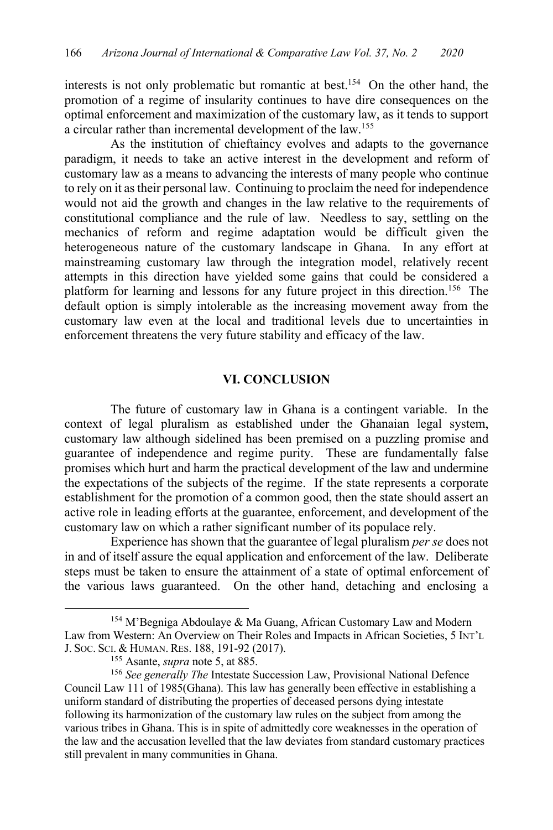interests is not only problematic but romantic at best.154 On the other hand, the promotion of a regime of insularity continues to have dire consequences on the optimal enforcement and maximization of the customary law, as it tends to support a circular rather than incremental development of the law.155

As the institution of chieftaincy evolves and adapts to the governance paradigm, it needs to take an active interest in the development and reform of customary law as a means to advancing the interests of many people who continue to rely on it as their personal law. Continuing to proclaim the need for independence would not aid the growth and changes in the law relative to the requirements of constitutional compliance and the rule of law. Needless to say, settling on the mechanics of reform and regime adaptation would be difficult given the heterogeneous nature of the customary landscape in Ghana. In any effort at mainstreaming customary law through the integration model, relatively recent attempts in this direction have yielded some gains that could be considered a platform for learning and lessons for any future project in this direction.<sup>156</sup> The default option is simply intolerable as the increasing movement away from the customary law even at the local and traditional levels due to uncertainties in enforcement threatens the very future stability and efficacy of the law.

#### **VI. CONCLUSION**

The future of customary law in Ghana is a contingent variable. In the context of legal pluralism as established under the Ghanaian legal system, customary law although sidelined has been premised on a puzzling promise and guarantee of independence and regime purity. These are fundamentally false promises which hurt and harm the practical development of the law and undermine the expectations of the subjects of the regime. If the state represents a corporate establishment for the promotion of a common good, then the state should assert an active role in leading efforts at the guarantee, enforcement, and development of the customary law on which a rather significant number of its populace rely.

Experience has shown that the guarantee of legal pluralism *per se* does not in and of itself assure the equal application and enforcement of the law. Deliberate steps must be taken to ensure the attainment of a state of optimal enforcement of the various laws guaranteed. On the other hand, detaching and enclosing a

<sup>154</sup> M'Begniga Abdoulaye & Ma Guang, African Customary Law and Modern Law from Western: An Overview on Their Roles and Impacts in African Societies, 5 INT'L J. SOC. SCI. & HUMAN. RES. 188, 191-92 (2017).

<sup>155</sup> Asante, *supra* note 5, at 885.

<sup>&</sup>lt;sup>156</sup> See generally The Intestate Succession Law, Provisional National Defence Council Law 111 of 1985(Ghana). This law has generally been effective in establishing a uniform standard of distributing the properties of deceased persons dying intestate following its harmonization of the customary law rules on the subject from among the various tribes in Ghana. This is in spite of admittedly core weaknesses in the operation of the law and the accusation levelled that the law deviates from standard customary practices still prevalent in many communities in Ghana.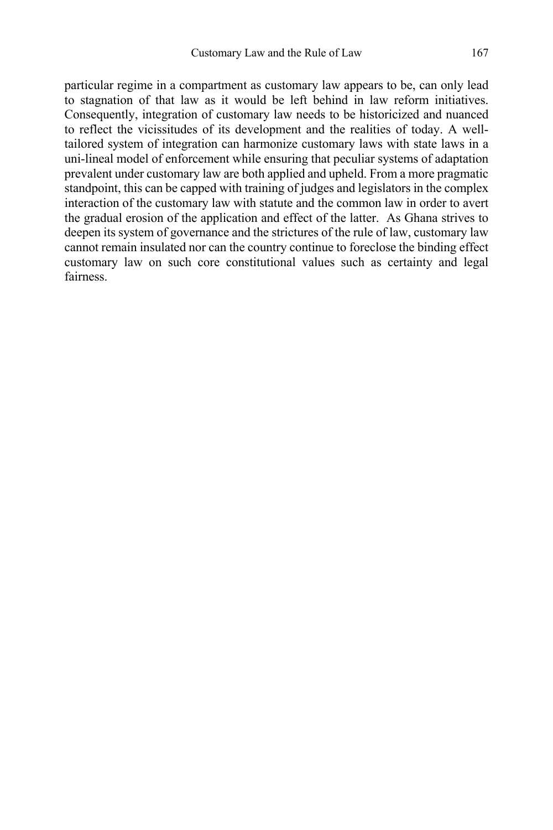particular regime in a compartment as customary law appears to be, can only lead to stagnation of that law as it would be left behind in law reform initiatives. Consequently, integration of customary law needs to be historicized and nuanced to reflect the vicissitudes of its development and the realities of today. A welltailored system of integration can harmonize customary laws with state laws in a uni-lineal model of enforcement while ensuring that peculiar systems of adaptation prevalent under customary law are both applied and upheld. From a more pragmatic standpoint, this can be capped with training of judges and legislators in the complex interaction of the customary law with statute and the common law in order to avert the gradual erosion of the application and effect of the latter. As Ghana strives to deepen its system of governance and the strictures of the rule of law, customary law cannot remain insulated nor can the country continue to foreclose the binding effect customary law on such core constitutional values such as certainty and legal fairness.